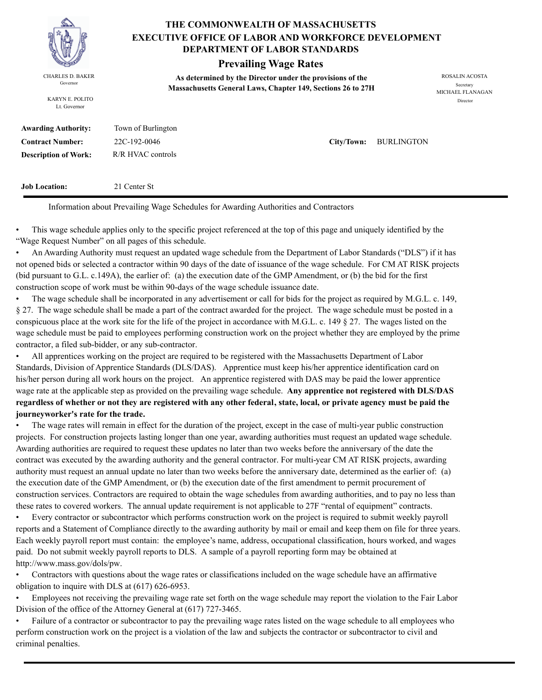

KARYN E. POLITO Lt. Governor

### **THE COMMONWEALTH OF MASSACHUSETTS DEPARTMENT OF LABOR STANDARDS EXECUTIVE OFFICE OF LABOR AND WORKFORCE DEVELOPMENT**

## **Prevailing Wage Rates**

**As determined by the Director under the provisions of the**  CHARLES D. BAKER ROSALIN ACOSTA Governor<br>**Massachusetts General Laws, Chapter 149, Sections 26 to 27H** 

MICHAEL FLANAGAN Director

| <b>Awarding Authority:</b>  | Town of Burlington |                       |
|-----------------------------|--------------------|-----------------------|
| <b>Contract Number:</b>     | 22C-192-0046       | City/Town: BURLINGTON |
| <b>Description of Work:</b> | R/R HVAC controls  |                       |

**Job Location:** 21 Center St

Information about Prevailing Wage Schedules for Awarding Authorities and Contractors

• This wage schedule applies only to the specific project referenced at the top of this page and uniquely identified by the "Wage Request Number" on all pages of this schedule.

• An Awarding Authority must request an updated wage schedule from the Department of Labor Standards ("DLS") if it has not opened bids or selected a contractor within 90 days of the date of issuance of the wage schedule. For CM AT RISK projects (bid pursuant to G.L. c.149A), the earlier of: (a) the execution date of the GMP Amendment, or (b) the bid for the first construction scope of work must be within 90-days of the wage schedule issuance date.

• The wage schedule shall be incorporated in any advertisement or call for bids for the project as required by M.G.L. c. 149, § 27. The wage schedule shall be made a part of the contract awarded for the project. The wage schedule must be posted in a conspicuous place at the work site for the life of the project in accordance with M.G.L. c. 149 § 27. The wages listed on the wage schedule must be paid to employees performing construction work on the project whether they are employed by the prime contractor, a filed sub-bidder, or any sub-contractor.

• All apprentices working on the project are required to be registered with the Massachusetts Department of Labor Standards, Division of Apprentice Standards (DLS/DAS). Apprentice must keep his/her apprentice identification card on his/her person during all work hours on the project. An apprentice registered with DAS may be paid the lower apprentice wage rate at the applicable step as provided on the prevailing wage schedule. **Any apprentice not registered with DLS/DAS regardless of whether or not they are registered with any other federal, state, local, or private agency must be paid the journeyworker's rate for the trade.**

• The wage rates will remain in effect for the duration of the project, except in the case of multi-year public construction projects. For construction projects lasting longer than one year, awarding authorities must request an updated wage schedule. Awarding authorities are required to request these updates no later than two weeks before the anniversary of the date the contract was executed by the awarding authority and the general contractor. For multi-year CM AT RISK projects, awarding authority must request an annual update no later than two weeks before the anniversary date, determined as the earlier of: (a) the execution date of the GMP Amendment, or (b) the execution date of the first amendment to permit procurement of construction services. Contractors are required to obtain the wage schedules from awarding authorities, and to pay no less than these rates to covered workers. The annual update requirement is not applicable to 27F "rental of equipment" contracts.

• Every contractor or subcontractor which performs construction work on the project is required to submit weekly payroll reports and a Statement of Compliance directly to the awarding authority by mail or email and keep them on file for three years. Each weekly payroll report must contain: the employee's name, address, occupational classification, hours worked, and wages paid. Do not submit weekly payroll reports to DLS. A sample of a payroll reporting form may be obtained at http://www.mass.gov/dols/pw.

• Contractors with questions about the wage rates or classifications included on the wage schedule have an affirmative obligation to inquire with DLS at (617) 626-6953.

• Employees not receiving the prevailing wage rate set forth on the wage schedule may report the violation to the Fair Labor Division of the office of the Attorney General at (617) 727-3465.

• Failure of a contractor or subcontractor to pay the prevailing wage rates listed on the wage schedule to all employees who perform construction work on the project is a violation of the law and subjects the contractor or subcontractor to civil and criminal penalties.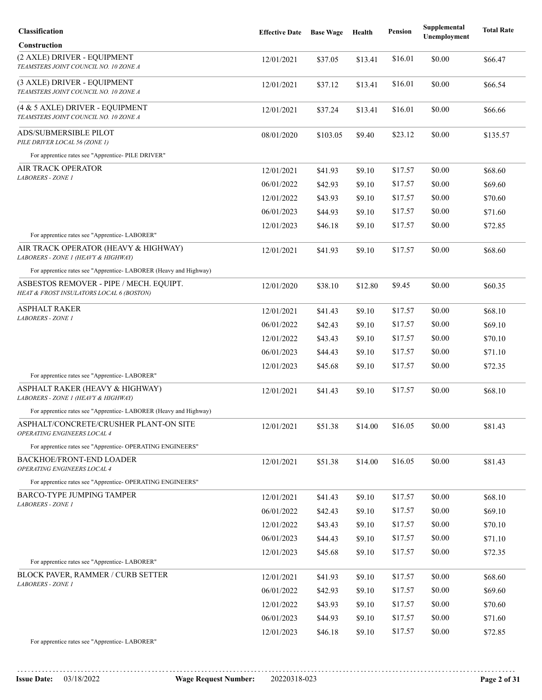| Classification                                                                      | <b>Effective Date</b> | <b>Base Wage</b> | Health  | <b>Pension</b> | Supplemental<br>Unemployment | <b>Total Rate</b> |
|-------------------------------------------------------------------------------------|-----------------------|------------------|---------|----------------|------------------------------|-------------------|
| <b>Construction</b>                                                                 |                       |                  |         |                |                              |                   |
| (2 AXLE) DRIVER - EQUIPMENT<br>TEAMSTERS JOINT COUNCIL NO. 10 ZONE A                | 12/01/2021            | \$37.05          | \$13.41 | \$16.01        | \$0.00                       | \$66.47           |
| (3 AXLE) DRIVER - EQUIPMENT<br>TEAMSTERS JOINT COUNCIL NO. 10 ZONE A                | 12/01/2021            | \$37.12          | \$13.41 | \$16.01        | \$0.00                       | \$66.54           |
| (4 & 5 AXLE) DRIVER - EQUIPMENT<br>TEAMSTERS JOINT COUNCIL NO. 10 ZONE A            | 12/01/2021            | \$37.24          | \$13.41 | \$16.01        | \$0.00                       | \$66.66           |
| ADS/SUBMERSIBLE PILOT<br>PILE DRIVER LOCAL 56 (ZONE 1)                              | 08/01/2020            | \$103.05         | \$9.40  | \$23.12        | \$0.00                       | \$135.57          |
| For apprentice rates see "Apprentice- PILE DRIVER"                                  |                       |                  |         |                |                              |                   |
| AIR TRACK OPERATOR<br>LABORERS - ZONE 1                                             | 12/01/2021            | \$41.93          | \$9.10  | \$17.57        | \$0.00                       | \$68.60           |
|                                                                                     | 06/01/2022            | \$42.93          | \$9.10  | \$17.57        | \$0.00                       | \$69.60           |
|                                                                                     | 12/01/2022            | \$43.93          | \$9.10  | \$17.57        | \$0.00                       | \$70.60           |
|                                                                                     | 06/01/2023            | \$44.93          | \$9.10  | \$17.57        | \$0.00                       | \$71.60           |
|                                                                                     | 12/01/2023            | \$46.18          | \$9.10  | \$17.57        | \$0.00                       | \$72.85           |
| For apprentice rates see "Apprentice-LABORER"                                       |                       |                  |         |                |                              |                   |
| AIR TRACK OPERATOR (HEAVY & HIGHWAY)<br>LABORERS - ZONE 1 (HEAVY & HIGHWAY)         | 12/01/2021            | \$41.93          | \$9.10  | \$17.57        | \$0.00                       | \$68.60           |
| For apprentice rates see "Apprentice- LABORER (Heavy and Highway)                   |                       |                  |         |                |                              |                   |
| ASBESTOS REMOVER - PIPE / MECH. EQUIPT.<br>HEAT & FROST INSULATORS LOCAL 6 (BOSTON) | 12/01/2020            | \$38.10          | \$12.80 | \$9.45         | \$0.00                       | \$60.35           |
| <b>ASPHALT RAKER</b>                                                                | 12/01/2021            | \$41.43          | \$9.10  | \$17.57        | \$0.00                       | \$68.10           |
| <b>LABORERS - ZONE 1</b>                                                            | 06/01/2022            | \$42.43          | \$9.10  | \$17.57        | \$0.00                       | \$69.10           |
|                                                                                     | 12/01/2022            | \$43.43          | \$9.10  | \$17.57        | \$0.00                       | \$70.10           |
|                                                                                     | 06/01/2023            | \$44.43          | \$9.10  | \$17.57        | \$0.00                       | \$71.10           |
| For apprentice rates see "Apprentice-LABORER"                                       | 12/01/2023            | \$45.68          | \$9.10  | \$17.57        | \$0.00                       | \$72.35           |
| ASPHALT RAKER (HEAVY & HIGHWAY)                                                     | 12/01/2021            | \$41.43          | \$9.10  | \$17.57        | \$0.00                       | \$68.10           |
| LABORERS - ZONE 1 (HEAVY & HIGHWAY)                                                 |                       |                  |         |                |                              |                   |
| For apprentice rates see "Apprentice-LABORER (Heavy and Highway)                    |                       |                  |         |                |                              |                   |
| ASPHALT/CONCRETE/CRUSHER PLANT-ON SITE<br>OPERATING ENGINEERS LOCAL 4               | 12/01/2021            | \$51.38          | \$14.00 | \$16.05        | \$0.00                       | \$81.43           |
| For apprentice rates see "Apprentice- OPERATING ENGINEERS"                          |                       |                  |         |                |                              |                   |
| <b>BACKHOE/FRONT-END LOADER</b><br>OPERATING ENGINEERS LOCAL 4                      | 12/01/2021            | \$51.38          | \$14.00 | \$16.05        | \$0.00                       | \$81.43           |
| For apprentice rates see "Apprentice- OPERATING ENGINEERS"                          |                       |                  |         |                |                              |                   |
| <b>BARCO-TYPE JUMPING TAMPER</b><br>LABORERS - ZONE 1                               | 12/01/2021            | \$41.43          | \$9.10  | \$17.57        | \$0.00                       | \$68.10           |
|                                                                                     | 06/01/2022            | \$42.43          | \$9.10  | \$17.57        | \$0.00                       | \$69.10           |
|                                                                                     | 12/01/2022            | \$43.43          | \$9.10  | \$17.57        | \$0.00                       | \$70.10           |
|                                                                                     | 06/01/2023            | \$44.43          | \$9.10  | \$17.57        | \$0.00                       | \$71.10           |
|                                                                                     | 12/01/2023            | \$45.68          | \$9.10  | \$17.57        | \$0.00                       | \$72.35           |
| For apprentice rates see "Apprentice-LABORER"                                       |                       |                  |         |                |                              |                   |
| <b>BLOCK PAVER, RAMMER / CURB SETTER</b><br><b>LABORERS - ZONE 1</b>                | 12/01/2021            | \$41.93          | \$9.10  | \$17.57        | \$0.00                       | \$68.60           |
|                                                                                     | 06/01/2022            | \$42.93          | \$9.10  | \$17.57        | \$0.00                       | \$69.60           |
|                                                                                     | 12/01/2022            | \$43.93          | \$9.10  | \$17.57        | \$0.00                       | \$70.60           |
|                                                                                     | 06/01/2023            | \$44.93          | \$9.10  | \$17.57        | \$0.00                       | \$71.60           |
| For apprentice rates see "Apprentice-LABORER"                                       | 12/01/2023            | \$46.18          | \$9.10  | \$17.57        | \$0.00                       | \$72.85           |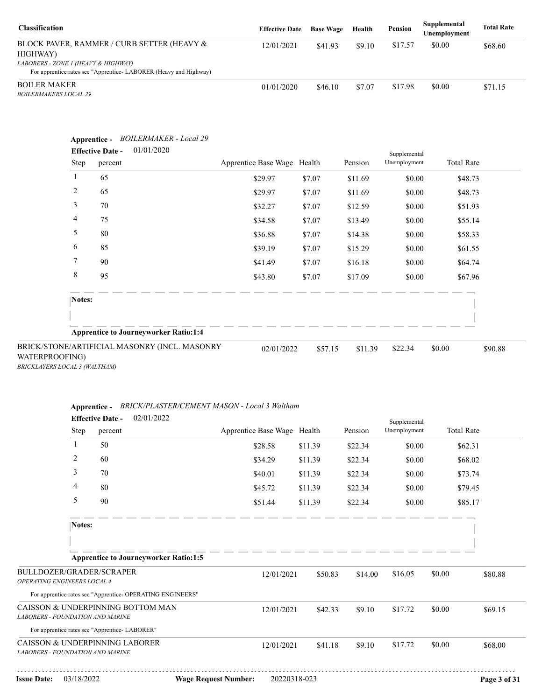| <b>Classification</b>                                                                                   | <b>Effective Date</b> | <b>Base Wage</b> | Health | Pension | Supplemental<br>Unemployment | <b>Total Rate</b> |
|---------------------------------------------------------------------------------------------------------|-----------------------|------------------|--------|---------|------------------------------|-------------------|
| BLOCK PAVER, RAMMER / CURB SETTER (HEAVY &<br>HIGHWAY)                                                  | 12/01/2021            | \$41.93          | \$9.10 | \$17.57 | \$0.00                       | \$68.60           |
| LABORERS - ZONE 1 (HEAVY & HIGHWAY)<br>For apprentice rates see "Apprentice-LABORER (Heavy and Highway) |                       |                  |        |         |                              |                   |
| <b>BOILER MAKER</b><br><i>BOILERMAKERS LOCAL 29</i>                                                     | 01/01/2020            | \$46.10          | \$7.07 | \$17.98 | \$0.00                       | \$71.15           |

| Step           | 01/01/2020<br><b>Effective Date -</b><br>percent | Apprentice Base Wage Health |         | Pension | Supplemental<br>Unemployment | <b>Total Rate</b> |
|----------------|--------------------------------------------------|-----------------------------|---------|---------|------------------------------|-------------------|
| 1              | 65                                               | \$29.97                     | \$7.07  | \$11.69 | \$0.00                       | \$48.73           |
| $\overline{c}$ | 65                                               | \$29.97                     | \$7.07  | \$11.69 | \$0.00                       | \$48.73           |
| 3              | 70                                               | \$32.27                     | \$7.07  | \$12.59 | \$0.00                       | \$51.93           |
| 4              | 75                                               | \$34.58                     | \$7.07  | \$13.49 | \$0.00                       | \$55.14           |
| 5              | 80                                               | \$36.88                     | \$7.07  | \$14.38 | \$0.00                       | \$58.33           |
| 6              | 85                                               | \$39.19                     | \$7.07  | \$15.29 | \$0.00                       | \$61.55           |
| 7              | 90                                               | \$41.49                     | \$7.07  | \$16.18 | \$0.00                       | \$64.74           |
| 8              | 95                                               | \$43.80                     | \$7.07  | \$17.09 | \$0.00                       | \$67.96           |
| Notes:         |                                                  |                             |         |         |                              |                   |
|                | <b>Apprentice to Journeyworker Ratio:1:4</b>     |                             |         |         |                              |                   |
| WATERPROOFING) | BRICK/STONE/ARTIFICIAL MASONRY (INCL. MASONRY    | 02/01/2022                  | \$57.15 | \$11.39 | \$22.34                      | \$0.00<br>\$90.88 |

| Apprentice - BRICK/PLASTER/CEMENT MASON - Local 3 Walthan. |  |
|------------------------------------------------------------|--|
|                                                            |  |

|                                                         |                | 02/01/2022<br><b>Effective Date -</b>                      |                             |              |         |         | Supplemental |                   |              |
|---------------------------------------------------------|----------------|------------------------------------------------------------|-----------------------------|--------------|---------|---------|--------------|-------------------|--------------|
|                                                         | Step           | percent                                                    | Apprentice Base Wage Health |              |         | Pension | Unemployment | <b>Total Rate</b> |              |
|                                                         | 1              | 50                                                         |                             | \$28.58      | \$11.39 | \$22.34 | \$0.00       | \$62.31           |              |
|                                                         | $\overline{2}$ | 60                                                         |                             | \$34.29      | \$11.39 | \$22.34 | \$0.00       | \$68.02           |              |
|                                                         | 3              | 70                                                         |                             | \$40.01      | \$11.39 | \$22.34 | \$0.00       | \$73.74           |              |
|                                                         | 4              | 80                                                         |                             | \$45.72      | \$11.39 | \$22.34 | \$0.00       | \$79.45           |              |
|                                                         | 5              | 90                                                         |                             | \$51.44      | \$11.39 | \$22.34 | \$0.00       | \$85.17           |              |
|                                                         | Notes:         |                                                            |                             |              |         |         |              |                   |              |
|                                                         |                |                                                            |                             |              |         |         |              |                   |              |
|                                                         |                | <b>Apprentice to Journeyworker Ratio:1:5</b>               |                             |              |         |         |              |                   |              |
| BULLDOZER/GRADER/SCRAPER<br>OPERATING ENGINEERS LOCAL 4 |                |                                                            |                             | 12/01/2021   | \$50.83 | \$14.00 | \$16.05      | \$0.00            | \$80.88      |
|                                                         |                | For apprentice rates see "Apprentice- OPERATING ENGINEERS" |                             |              |         |         |              |                   |              |
| <b>LABORERS - FOUNDATION AND MARINE</b>                 |                | CAISSON & UNDERPINNING BOTTOM MAN                          |                             | 12/01/2021   | \$42.33 | \$9.10  | \$17.72      | \$0.00            | \$69.15      |
|                                                         |                | For apprentice rates see "Apprentice- LABORER"             |                             |              |         |         |              |                   |              |
| <b>LABORERS - FOUNDATION AND MARINE</b>                 |                | CAISSON & UNDERPINNING LABORER                             |                             | 12/01/2021   | \$41.18 | \$9.10  | \$17.72      | \$0.00            | \$68.00      |
| <b>Issue Date:</b>                                      | 03/18/2022     |                                                            | <b>Wage Request Number:</b> | 20220318-023 |         |         |              |                   | Page 3 of 31 |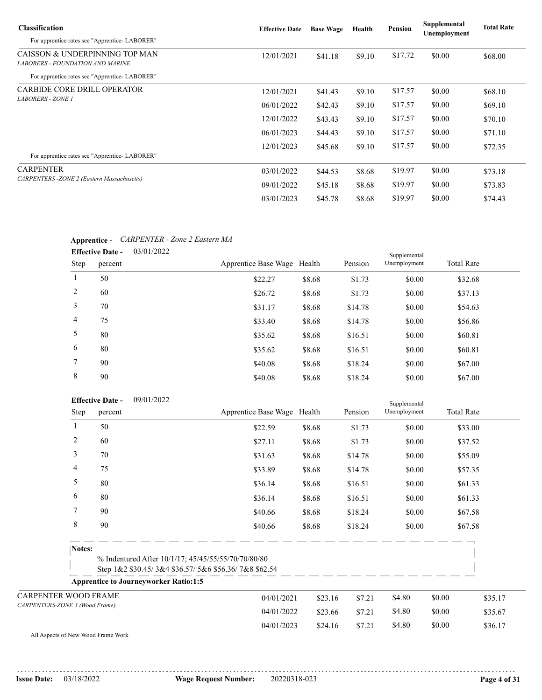| <b>Classification</b>                                              | <b>Effective Date</b> | <b>Base Wage</b> | Health | Pension | Supplemental<br>Unemployment | <b>Total Rate</b> |
|--------------------------------------------------------------------|-----------------------|------------------|--------|---------|------------------------------|-------------------|
| For apprentice rates see "Apprentice-LABORER"                      |                       |                  |        |         |                              |                   |
| CAISSON & UNDERPINNING TOP MAN<br>LABORERS - FOUNDATION AND MARINE | 12/01/2021            | \$41.18          | \$9.10 | \$17.72 | \$0.00                       | \$68.00           |
| For apprentice rates see "Apprentice-LABORER"                      |                       |                  |        |         |                              |                   |
| <b>CARBIDE CORE DRILL OPERATOR</b>                                 | 12/01/2021            | \$41.43          | \$9.10 | \$17.57 | \$0.00                       | \$68.10           |
| <b>LABORERS - ZONE 1</b>                                           | 06/01/2022            | \$42.43          | \$9.10 | \$17.57 | \$0.00                       | \$69.10           |
|                                                                    | 12/01/2022            | \$43.43          | \$9.10 | \$17.57 | \$0.00                       | \$70.10           |
|                                                                    | 06/01/2023            | \$44.43          | \$9.10 | \$17.57 | \$0.00                       | \$71.10           |
| For apprentice rates see "Apprentice-LABORER"                      | 12/01/2023            | \$45.68          | \$9.10 | \$17.57 | \$0.00                       | \$72.35           |
| <b>CARPENTER</b>                                                   | 03/01/2022            | \$44.53          | \$8.68 | \$19.97 | \$0.00                       | \$73.18           |
| <b>CARPENTERS</b> - ZONE 2 (Eastern Massachusetts)                 | 09/01/2022            | \$45.18          | \$8.68 | \$19.97 | \$0.00                       | \$73.83           |
|                                                                    | 03/01/2023            | \$45.78          | \$8.68 | \$19.97 | \$0.00                       | \$74.43           |

### **Apprentice -** *CARPENTER - Zone 2 Eastern MA*

|             | 03/01/2022<br><b>Effective Date -</b> |                             |        |         | Supplemental |                   |
|-------------|---------------------------------------|-----------------------------|--------|---------|--------------|-------------------|
| <b>Step</b> | percent                               | Apprentice Base Wage Health |        | Pension | Unemployment | <b>Total Rate</b> |
|             | 50                                    | \$22.27                     | \$8.68 | \$1.73  | \$0.00       | \$32.68           |
| 2           | 60                                    | \$26.72                     | \$8.68 | \$1.73  | \$0.00       | \$37.13           |
| 3           | 70                                    | \$31.17                     | \$8.68 | \$14.78 | \$0.00       | \$54.63           |
| 4           | 75                                    | \$33.40                     | \$8.68 | \$14.78 | \$0.00       | \$56.86           |
| 5           | 80                                    | \$35.62                     | \$8.68 | \$16.51 | \$0.00       | \$60.81           |
| 6           | 80                                    | \$35.62                     | \$8.68 | \$16.51 | \$0.00       | \$60.81           |
| 7           | 90                                    | \$40.08                     | \$8.68 | \$18.24 | \$0.00       | \$67.00           |
| 8           | 90                                    | \$40.08                     | \$8.68 | \$18.24 | \$0.00       | \$67.00           |

|                                | 09/01/2022<br><b>Effective Date -</b><br>Supplemental |         |                                                                                                             |                             |         |         |              |        |                   |         |
|--------------------------------|-------------------------------------------------------|---------|-------------------------------------------------------------------------------------------------------------|-----------------------------|---------|---------|--------------|--------|-------------------|---------|
|                                | Step                                                  | percent |                                                                                                             | Apprentice Base Wage Health |         | Pension | Unemployment |        | <b>Total Rate</b> |         |
| 1                              |                                                       | 50      |                                                                                                             | \$22.59                     | \$8.68  | \$1.73  | \$0.00       |        | \$33.00           |         |
| 2                              |                                                       | 60      |                                                                                                             | \$27.11                     | \$8.68  | \$1.73  | \$0.00       |        | \$37.52           |         |
| 3                              |                                                       | 70      |                                                                                                             | \$31.63                     | \$8.68  | \$14.78 | \$0.00       |        | \$55.09           |         |
| 4                              |                                                       | 75      |                                                                                                             | \$33.89                     | \$8.68  | \$14.78 | \$0.00       |        | \$57.35           |         |
| 5                              |                                                       | 80      |                                                                                                             | \$36.14                     | \$8.68  | \$16.51 | \$0.00       |        | \$61.33           |         |
| 6                              |                                                       | 80      |                                                                                                             | \$36.14                     | \$8.68  | \$16.51 | \$0.00       |        | \$61.33           |         |
| 7                              |                                                       | 90      |                                                                                                             | \$40.66                     | \$8.68  | \$18.24 | \$0.00       |        | \$67.58           |         |
| 8                              |                                                       | 90      |                                                                                                             | \$40.66                     | \$8.68  | \$18.24 | \$0.00       |        | \$67.58           |         |
|                                | Notes:                                                |         |                                                                                                             |                             |         |         |              |        |                   |         |
|                                |                                                       |         | % Indentured After 10/1/17; 45/45/55/55/70/70/80/80<br>Step 1&2 \$30.45/3&4 \$36.57/5&6 \$56.36/7&8 \$62.54 |                             |         |         |              |        |                   |         |
|                                |                                                       |         | <b>Apprentice to Journeyworker Ratio:1:5</b>                                                                |                             |         |         |              |        |                   |         |
| <b>CARPENTER WOOD FRAME</b>    |                                                       |         |                                                                                                             | 04/01/2021                  | \$23.16 | \$7.21  | \$4.80       | \$0.00 |                   | \$35.17 |
| CARPENTERS-ZONE 3 (Wood Frame) |                                                       |         |                                                                                                             | 04/01/2022                  | \$23.66 | \$7.21  | \$4.80       | \$0.00 |                   | \$35.67 |
|                                |                                                       |         |                                                                                                             | 04/01/2023                  | \$24.16 | \$7.21  | \$4.80       | \$0.00 |                   | \$36.17 |

All Aspects of New Wood Frame Work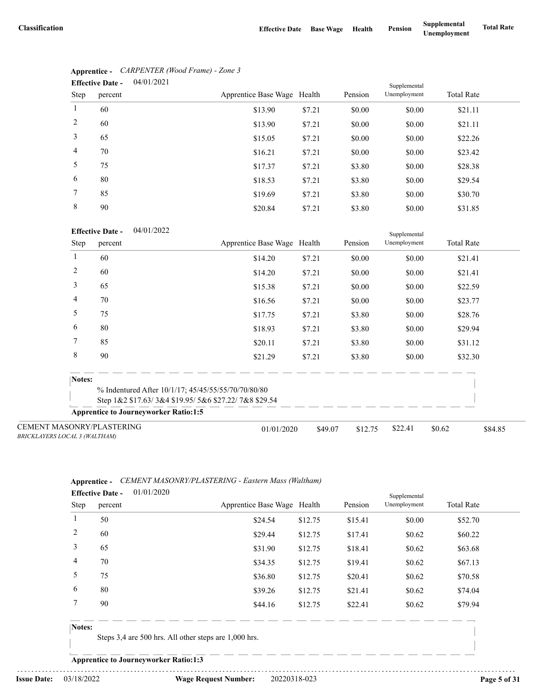|                | 04/01/2021<br><b>Effective Date -</b> |                             |        |         | Supplemental |                   |
|----------------|---------------------------------------|-----------------------------|--------|---------|--------------|-------------------|
| Step           | percent                               | Apprentice Base Wage Health |        | Pension | Unemployment | <b>Total Rate</b> |
| $\mathbf{1}$   | 60                                    | \$13.90                     | \$7.21 | \$0.00  | \$0.00       | \$21.11           |
| 2              | 60                                    | \$13.90                     | \$7.21 | \$0.00  | \$0.00       | \$21.11           |
| 3              | 65                                    | \$15.05                     | \$7.21 | \$0.00  | \$0.00       | \$22.26           |
| $\overline{4}$ | 70                                    | \$16.21                     | \$7.21 | \$0.00  | \$0.00       | \$23.42           |
| 5              | 75                                    | \$17.37                     | \$7.21 | \$3.80  | \$0.00       | \$28.38           |
| 6              | 80                                    | \$18.53                     | \$7.21 | \$3.80  | \$0.00       | \$29.54           |
| 7              | 85                                    | \$19.69                     | \$7.21 | \$3.80  | \$0.00       | \$30.70           |
| 8              | 90                                    | \$20.84                     | \$7.21 | \$3.80  | \$0.00       | \$31.85           |

# **Apprentice -** *CARPENTER (Wood Frame) - Zone 3*

### 04/01/2022 **Effective Date -**

|                                                                   | <b>Effective Date -</b><br>04/01/2022        |                                                      |         |         | Supplemental |                   |         |  |
|-------------------------------------------------------------------|----------------------------------------------|------------------------------------------------------|---------|---------|--------------|-------------------|---------|--|
| Step                                                              | percent                                      | Apprentice Base Wage Health                          |         | Pension | Unemployment | <b>Total Rate</b> |         |  |
|                                                                   | 60                                           | \$14.20                                              | \$7.21  | \$0.00  | \$0.00       | \$21.41           |         |  |
| 2                                                                 | 60                                           | \$14.20                                              | \$7.21  | \$0.00  | \$0.00       | \$21.41           |         |  |
| 3                                                                 | 65                                           | \$15.38                                              | \$7.21  | \$0.00  | \$0.00       | \$22.59           |         |  |
| 4                                                                 | 70                                           | \$16.56                                              | \$7.21  | \$0.00  | \$0.00       | \$23.77           |         |  |
| 5                                                                 | 75                                           | \$17.75                                              | \$7.21  | \$3.80  | \$0.00       | \$28.76           |         |  |
| 6                                                                 | 80                                           | \$18.93                                              | \$7.21  | \$3.80  | \$0.00       | \$29.94           |         |  |
| 7                                                                 | 85                                           | \$20.11                                              | \$7.21  | \$3.80  | \$0.00       | \$31.12           |         |  |
| 8                                                                 | 90                                           | \$21.29                                              | \$7.21  | \$3.80  | \$0.00       | \$32.30           |         |  |
| Notes:                                                            |                                              |                                                      |         |         |              |                   |         |  |
|                                                                   |                                              | % Indentured After 10/1/17; 45/45/55/55/70/70/80/80  |         |         |              |                   |         |  |
|                                                                   |                                              | Step 1&2 \$17.63/3&4 \$19.95/5&6 \$27.22/7&8 \$29.54 |         |         |              |                   |         |  |
|                                                                   | <b>Apprentice to Journeyworker Ratio:1:5</b> |                                                      |         |         |              |                   |         |  |
| <b>CEMENT MASONRY/PLASTERING</b><br>BRICKLAYERS LOCAL 3 (WALTHAM) |                                              | 01/01/2020                                           | \$49.07 | \$12.75 | \$22.41      | \$0.62            | \$84.85 |  |

### **Apprentice -** *CEMENT MASONRY/PLASTERING - Eastern Mass (Waltham)* 01/01/2020 **Effective Date -**

|             | Litecuve Date -<br>01/01/2020 |                             |         |         | Supplemental |                   |  |
|-------------|-------------------------------|-----------------------------|---------|---------|--------------|-------------------|--|
| <b>Step</b> | percent                       | Apprentice Base Wage Health |         | Pension | Unemployment | <b>Total Rate</b> |  |
|             | 50                            | \$24.54                     | \$12.75 | \$15.41 | \$0.00       | \$52.70           |  |
| 2           | 60                            | \$29.44                     | \$12.75 | \$17.41 | \$0.62       | \$60.22           |  |
| 3           | 65                            | \$31.90                     | \$12.75 | \$18.41 | \$0.62       | \$63.68           |  |
| 4           | 70                            | \$34.35                     | \$12.75 | \$19.41 | \$0.62       | \$67.13           |  |
| 5           | 75                            | \$36.80                     | \$12.75 | \$20.41 | \$0.62       | \$70.58           |  |
| 6           | 80                            | \$39.26                     | \$12.75 | \$21.41 | \$0.62       | \$74.04           |  |
|             | 90                            | \$44.16                     | \$12.75 | \$22.41 | \$0.62       | \$79.94           |  |
|             |                               |                             |         |         |              |                   |  |

### **Notes:**

Steps 3,4 are 500 hrs. All other steps are 1,000 hrs.

**Apprentice to Journeyworker Ratio:1:3**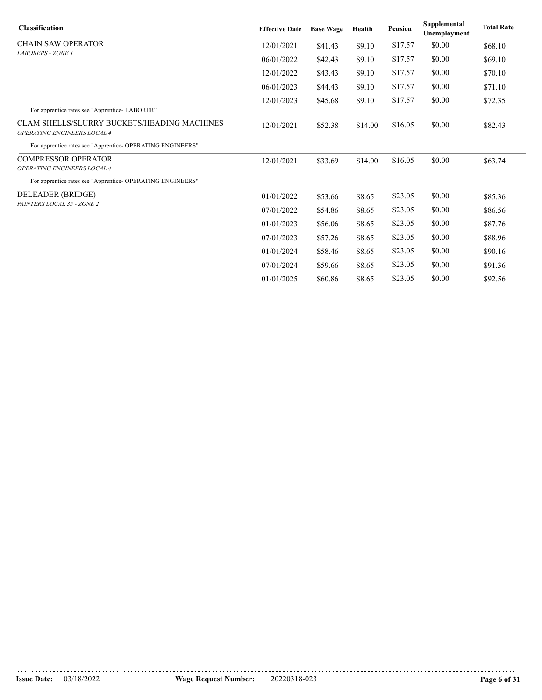| <b>Classification</b>                                                             | <b>Effective Date</b> | <b>Base Wage</b> | Health  | <b>Pension</b> | Supplemental<br>Unemployment | <b>Total Rate</b> |
|-----------------------------------------------------------------------------------|-----------------------|------------------|---------|----------------|------------------------------|-------------------|
| <b>CHAIN SAW OPERATOR</b>                                                         | 12/01/2021            | \$41.43          | \$9.10  | \$17.57        | \$0.00                       | \$68.10           |
| <b>LABORERS - ZONE 1</b>                                                          | 06/01/2022            | \$42.43          | \$9.10  | \$17.57        | \$0.00                       | \$69.10           |
|                                                                                   | 12/01/2022            | \$43.43          | \$9.10  | \$17.57        | \$0.00                       | \$70.10           |
|                                                                                   | 06/01/2023            | \$44.43          | \$9.10  | \$17.57        | \$0.00                       | \$71.10           |
|                                                                                   | 12/01/2023            | \$45.68          | \$9.10  | \$17.57        | \$0.00                       | \$72.35           |
| For apprentice rates see "Apprentice-LABORER"                                     |                       |                  |         |                |                              |                   |
| <b>CLAM SHELLS/SLURRY BUCKETS/HEADING MACHINES</b><br>OPERATING ENGINEERS LOCAL 4 | 12/01/2021            | \$52.38          | \$14.00 | \$16.05        | \$0.00                       | \$82.43           |
| For apprentice rates see "Apprentice- OPERATING ENGINEERS"                        |                       |                  |         |                |                              |                   |
| <b>COMPRESSOR OPERATOR</b>                                                        | 12/01/2021            | \$33.69          | \$14.00 | \$16.05        | \$0.00                       | \$63.74           |
| OPERATING ENGINEERS LOCAL 4                                                       |                       |                  |         |                |                              |                   |
| For apprentice rates see "Apprentice- OPERATING ENGINEERS"                        |                       |                  |         |                |                              |                   |
| DELEADER (BRIDGE)                                                                 | 01/01/2022            | \$53.66          | \$8.65  | \$23.05        | \$0.00                       | \$85.36           |
| PAINTERS LOCAL 35 - ZONE 2                                                        | 07/01/2022            | \$54.86          | \$8.65  | \$23.05        | \$0.00                       | \$86.56           |
|                                                                                   | 01/01/2023            | \$56.06          | \$8.65  | \$23.05        | \$0.00                       | \$87.76           |
|                                                                                   | 07/01/2023            | \$57.26          | \$8.65  | \$23.05        | \$0.00                       | \$88.96           |
|                                                                                   | 01/01/2024            | \$58.46          | \$8.65  | \$23.05        | \$0.00                       | \$90.16           |
|                                                                                   | 07/01/2024            | \$59.66          | \$8.65  | \$23.05        | \$0.00                       | \$91.36           |
|                                                                                   | 01/01/2025            | \$60.86          | \$8.65  | \$23.05        | \$0.00                       | \$92.56           |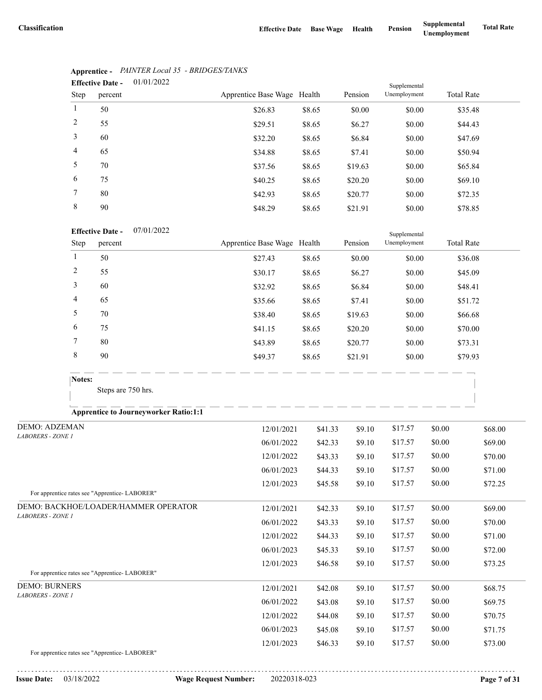|                | 01/01/2022<br><b>Effective Date -</b> |                             |        |         | Supplemental |                   |
|----------------|---------------------------------------|-----------------------------|--------|---------|--------------|-------------------|
| Step           | percent                               | Apprentice Base Wage Health |        | Pension | Unemployment | <b>Total Rate</b> |
| 1              | 50                                    | \$26.83                     | \$8.65 | \$0.00  | \$0.00       | \$35.48           |
| 2              | 55                                    | \$29.51                     | \$8.65 | \$6.27  | \$0.00       | \$44.43           |
| 3              | 60                                    | \$32.20                     | \$8.65 | \$6.84  | \$0.00       | \$47.69           |
| $\overline{4}$ | 65                                    | \$34.88                     | \$8.65 | \$7.41  | \$0.00       | \$50.94           |
| 5              | 70                                    | \$37.56                     | \$8.65 | \$19.63 | \$0.00       | \$65.84           |
| 6              | 75                                    | \$40.25                     | \$8.65 | \$20.20 | \$0.00       | \$69.10           |
| $\tau$         | 80                                    | \$42.93                     | \$8.65 | \$20.77 | \$0.00       | \$72.35           |
| 8              | 90                                    | \$48.29                     | \$8.65 | \$21.91 | \$0.00       | \$78.85           |

## **Apprentice -** *PAINTER Local 35 - BRIDGES/TANKS*

### 07/01/2022 **Effective Date -**

|      | <b>Effective Date -</b> | 0//01/2022 |                             |        |         | Supplemental |                   |
|------|-------------------------|------------|-----------------------------|--------|---------|--------------|-------------------|
| Step | percent                 |            | Apprentice Base Wage Health |        | Pension | Unemployment | <b>Total Rate</b> |
|      | 50                      |            | \$27.43                     | \$8.65 | \$0.00  | \$0.00       | \$36.08           |
| 2    | 55                      |            | \$30.17                     | \$8.65 | \$6.27  | \$0.00       | \$45.09           |
| 3    | 60                      |            | \$32.92                     | \$8.65 | \$6.84  | \$0.00       | \$48.41           |
| 4    | 65                      |            | \$35.66                     | \$8.65 | \$7.41  | \$0.00       | \$51.72           |
| 5    | 70                      |            | \$38.40                     | \$8.65 | \$19.63 | \$0.00       | \$66.68           |
| 6    | 75                      |            | \$41.15                     | \$8.65 | \$20.20 | \$0.00       | \$70.00           |
| 7    | 80                      |            | \$43.89                     | \$8.65 | \$20.77 | \$0.00       | \$73.31           |
| 8    | 90                      |            | \$49.37                     | \$8.65 | \$21.91 | \$0.00       | \$79.93           |

Steps are 750 hrs.

## **Apprentice to Journeyworker Ratio:1:1**

| <b>DEMO: ADZEMAN</b>                                                                                                                                                                                                                            | 12/01/2021 | \$41.33 | \$9.10 | \$17.57 | \$0.00 | \$68.00 |
|-------------------------------------------------------------------------------------------------------------------------------------------------------------------------------------------------------------------------------------------------|------------|---------|--------|---------|--------|---------|
| <b>LABORERS - ZONE 1</b>                                                                                                                                                                                                                        | 06/01/2022 | \$42.33 | \$9.10 | \$17.57 | \$0.00 | \$69.00 |
|                                                                                                                                                                                                                                                 | 12/01/2022 | \$43.33 | \$9.10 | \$17.57 | \$0.00 | \$70.00 |
|                                                                                                                                                                                                                                                 | 06/01/2023 | \$44.33 | \$9.10 | \$17.57 | \$0.00 | \$71.00 |
|                                                                                                                                                                                                                                                 | 12/01/2023 | \$45.58 | \$9.10 | \$17.57 | \$0.00 | \$72.25 |
| For apprentice rates see "Apprentice-LABORER"                                                                                                                                                                                                   |            |         |        |         |        |         |
| DEMO: BACKHOE/LOADER/HAMMER OPERATOR                                                                                                                                                                                                            | 12/01/2021 | \$42.33 | \$9.10 | \$17.57 | \$0.00 | \$69.00 |
| <b>LABORERS - ZONE 1</b>                                                                                                                                                                                                                        | 06/01/2022 | \$43.33 | \$9.10 | \$17.57 | \$0.00 | \$70.00 |
|                                                                                                                                                                                                                                                 | 12/01/2022 | \$44.33 | \$9.10 | \$17.57 | \$0.00 | \$71.00 |
|                                                                                                                                                                                                                                                 | 06/01/2023 | \$45.33 | \$9.10 | \$17.57 | \$0.00 | \$72.00 |
|                                                                                                                                                                                                                                                 | 12/01/2023 | \$46.58 | \$9.10 | \$17.57 | \$0.00 | \$73.25 |
| For apprentice rates see "Apprentice- LABORER"                                                                                                                                                                                                  |            |         |        |         |        |         |
| <b>DEMO: BURNERS</b>                                                                                                                                                                                                                            | 12/01/2021 | \$42.08 | \$9.10 | \$17.57 | \$0.00 | \$68.75 |
| <b>LABORERS - ZONE 1</b>                                                                                                                                                                                                                        | 06/01/2022 | \$43.08 | \$9.10 | \$17.57 | \$0.00 | \$69.75 |
|                                                                                                                                                                                                                                                 | 12/01/2022 | \$44.08 | \$9.10 | \$17.57 | \$0.00 | \$70.75 |
|                                                                                                                                                                                                                                                 | 06/01/2023 | \$45.08 | \$9.10 | \$17.57 | \$0.00 | \$71.75 |
|                                                                                                                                                                                                                                                 | 12/01/2023 | \$46.33 | \$9.10 | \$17.57 | \$0.00 | \$73.00 |
| $F_{1}$ and $F_{2}$ and $F_{3}$ and $F_{4}$ and $F_{5}$ and $F_{5}$ and $F_{6}$ and $F_{7}$ and $F_{8}$ and $F_{9}$ and $F_{1}$ and $F_{2}$ and $F_{3}$ and $F_{4}$ and $F_{5}$ and $F_{6}$ and $F_{7}$ and $F_{8}$ and $F_{9}$ and $F_{1}$ and |            |         |        |         |        |         |

For apprentice rates see "Apprentice- LABORER"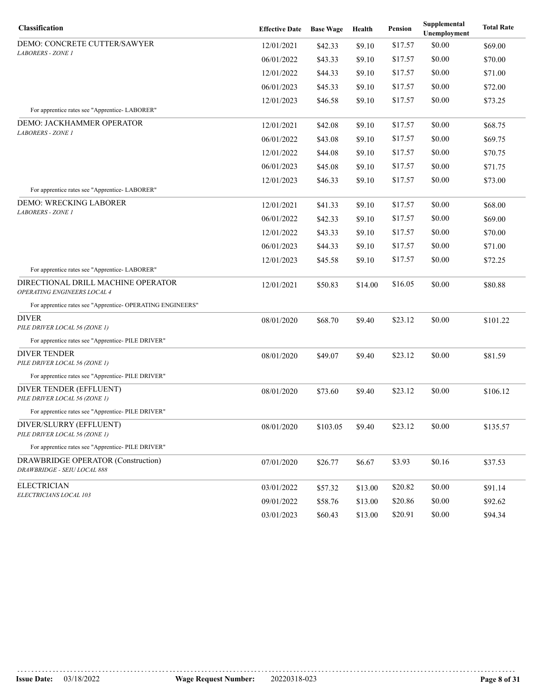| Classification                                                           | <b>Effective Date</b> | <b>Base Wage</b> | Health  | Pension | Supplemental<br>Unemployment | <b>Total Rate</b> |
|--------------------------------------------------------------------------|-----------------------|------------------|---------|---------|------------------------------|-------------------|
| DEMO: CONCRETE CUTTER/SAWYER                                             | 12/01/2021            | \$42.33          | \$9.10  | \$17.57 | \$0.00                       | \$69.00           |
| <i>LABORERS - ZONE 1</i>                                                 | 06/01/2022            | \$43.33          | \$9.10  | \$17.57 | \$0.00                       | \$70.00           |
|                                                                          | 12/01/2022            | \$44.33          | \$9.10  | \$17.57 | \$0.00                       | \$71.00           |
|                                                                          | 06/01/2023            | \$45.33          | \$9.10  | \$17.57 | \$0.00                       | \$72.00           |
|                                                                          | 12/01/2023            | \$46.58          | \$9.10  | \$17.57 | \$0.00                       | \$73.25           |
| For apprentice rates see "Apprentice-LABORER"                            |                       |                  |         |         |                              |                   |
| DEMO: JACKHAMMER OPERATOR<br><b>LABORERS - ZONE 1</b>                    | 12/01/2021            | \$42.08          | \$9.10  | \$17.57 | \$0.00                       | \$68.75           |
|                                                                          | 06/01/2022            | \$43.08          | \$9.10  | \$17.57 | \$0.00                       | \$69.75           |
|                                                                          | 12/01/2022            | \$44.08          | \$9.10  | \$17.57 | \$0.00                       | \$70.75           |
|                                                                          | 06/01/2023            | \$45.08          | \$9.10  | \$17.57 | \$0.00                       | \$71.75           |
|                                                                          | 12/01/2023            | \$46.33          | \$9.10  | \$17.57 | \$0.00                       | \$73.00           |
| For apprentice rates see "Apprentice-LABORER"                            |                       |                  |         |         |                              |                   |
| DEMO: WRECKING LABORER<br>LABORERS - ZONE 1                              | 12/01/2021            | \$41.33          | \$9.10  | \$17.57 | \$0.00                       | \$68.00           |
|                                                                          | 06/01/2022            | \$42.33          | \$9.10  | \$17.57 | \$0.00                       | \$69.00           |
|                                                                          | 12/01/2022            | \$43.33          | \$9.10  | \$17.57 | \$0.00                       | \$70.00           |
|                                                                          | 06/01/2023            | \$44.33          | \$9.10  | \$17.57 | \$0.00                       | \$71.00           |
|                                                                          | 12/01/2023            | \$45.58          | \$9.10  | \$17.57 | \$0.00                       | \$72.25           |
| For apprentice rates see "Apprentice-LABORER"                            |                       |                  |         |         |                              |                   |
| DIRECTIONAL DRILL MACHINE OPERATOR<br><b>OPERATING ENGINEERS LOCAL 4</b> | 12/01/2021            | \$50.83          | \$14.00 | \$16.05 | \$0.00                       | \$80.88           |
| For apprentice rates see "Apprentice- OPERATING ENGINEERS"               |                       |                  |         |         |                              |                   |
| DIVER<br>PILE DRIVER LOCAL 56 (ZONE 1)                                   | 08/01/2020            | \$68.70          | \$9.40  | \$23.12 | \$0.00                       | \$101.22          |
| For apprentice rates see "Apprentice- PILE DRIVER"                       |                       |                  |         |         |                              |                   |
| <b>DIVER TENDER</b><br>PILE DRIVER LOCAL 56 (ZONE 1)                     | 08/01/2020            | \$49.07          | \$9.40  | \$23.12 | \$0.00                       | \$81.59           |
| For apprentice rates see "Apprentice- PILE DRIVER"                       |                       |                  |         |         |                              |                   |
| DIVER TENDER (EFFLUENT)<br>PILE DRIVER LOCAL 56 (ZONE 1)                 | 08/01/2020            | \$73.60          | \$9.40  | \$23.12 | \$0.00                       | \$106.12          |
| For apprentice rates see "Apprentice- PILE DRIVER"                       |                       |                  |         |         |                              |                   |
| DIVER/SLURRY (EFFLUENT)<br>PILE DRIVER LOCAL 56 (ZONE 1)                 | 08/01/2020            | \$103.05         | \$9.40  | \$23.12 | \$0.00                       | \$135.57          |
| For apprentice rates see "Apprentice- PILE DRIVER"                       |                       |                  |         |         |                              |                   |
| DRAWBRIDGE OPERATOR (Construction)<br>DRAWBRIDGE - SEIU LOCAL 888        | 07/01/2020            | \$26.77          | \$6.67  | \$3.93  | \$0.16                       | \$37.53           |
| <b>ELECTRICIAN</b>                                                       | 03/01/2022            | \$57.32          | \$13.00 | \$20.82 | \$0.00                       | \$91.14           |
| ELECTRICIANS LOCAL 103                                                   | 09/01/2022            | \$58.76          | \$13.00 | \$20.86 | \$0.00                       | \$92.62           |
|                                                                          | 03/01/2023            | \$60.43          | \$13.00 | \$20.91 | \$0.00                       | \$94.34           |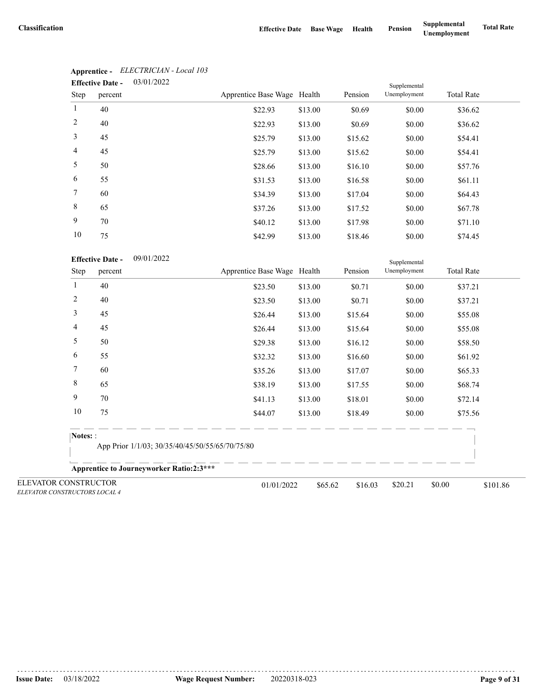|                 | <b>Effective Date -</b> | 03/01/2022 |                             |         |         | Supplemental |                   |  |
|-----------------|-------------------------|------------|-----------------------------|---------|---------|--------------|-------------------|--|
| Step            | percent                 |            | Apprentice Base Wage Health |         | Pension | Unemployment | <b>Total Rate</b> |  |
| $\mathbf{1}$    | 40                      |            | \$22.93                     | \$13.00 | \$0.69  | \$0.00       | \$36.62           |  |
| 2               | 40                      |            | \$22.93                     | \$13.00 | \$0.69  | \$0.00       | \$36.62           |  |
| 3               | 45                      |            | \$25.79                     | \$13.00 | \$15.62 | \$0.00       | \$54.41           |  |
| $\overline{4}$  | 45                      |            | \$25.79                     | \$13.00 | \$15.62 | \$0.00       | \$54.41           |  |
| 5               | 50                      |            | \$28.66                     | \$13.00 | \$16.10 | \$0.00       | \$57.76           |  |
| 6               | 55                      |            | \$31.53                     | \$13.00 | \$16.58 | \$0.00       | \$61.11           |  |
| $7\phantom{.0}$ | 60                      |            | \$34.39                     | \$13.00 | \$17.04 | \$0.00       | \$64.43           |  |
| 8               | 65                      |            | \$37.26                     | \$13.00 | \$17.52 | \$0.00       | \$67.78           |  |
| 9               | 70                      |            | \$40.12                     | \$13.00 | \$17.98 | \$0.00       | \$71.10           |  |
| 10              | 75                      |            | \$42.99                     | \$13.00 | \$18.46 | \$0.00       | \$74.45           |  |

# **Apprentice -** *ELECTRICIAN - Local 103*

|                                                       | <b>Effective Date -</b><br>09/01/2022           |                                                 |         |         | Supplemental |                    |
|-------------------------------------------------------|-------------------------------------------------|-------------------------------------------------|---------|---------|--------------|--------------------|
| Step                                                  | percent                                         | Apprentice Base Wage Health                     |         | Pension | Unemployment | <b>Total Rate</b>  |
| 1                                                     | 40                                              | \$23.50                                         | \$13.00 | \$0.71  | \$0.00       | \$37.21            |
| $\overline{c}$                                        | 40                                              | \$23.50                                         | \$13.00 | \$0.71  | \$0.00       | \$37.21            |
| 3                                                     | 45                                              | \$26.44                                         | \$13.00 | \$15.64 | \$0.00       | \$55.08            |
| 4                                                     | 45                                              | \$26.44                                         | \$13.00 | \$15.64 | \$0.00       | \$55.08            |
| 5                                                     | 50                                              | \$29.38                                         | \$13.00 | \$16.12 | \$0.00       | \$58.50            |
| 6                                                     | 55                                              | \$32.32                                         | \$13.00 | \$16.60 | \$0.00       | \$61.92            |
| 7                                                     | 60                                              | \$35.26                                         | \$13.00 | \$17.07 | \$0.00       | \$65.33            |
| 8                                                     | 65                                              | \$38.19                                         | \$13.00 | \$17.55 | \$0.00       | \$68.74            |
| 9                                                     | 70                                              | \$41.13                                         | \$13.00 | \$18.01 | \$0.00       | \$72.14            |
| 10                                                    | 75                                              | \$44.07                                         | \$13.00 | \$18.49 | \$0.00       | \$75.56            |
| Notes: :                                              |                                                 |                                                 |         |         |              |                    |
|                                                       |                                                 | App Prior 1/1/03; 30/35/40/45/50/55/65/70/75/80 |         |         |              |                    |
|                                                       | <b>Apprentice to Journeyworker Ratio:2:3***</b> |                                                 |         |         |              |                    |
| ELEVATOR CONSTRUCTOR<br>ELEVATOR CONSTRUCTORS LOCAL 4 |                                                 | 01/01/2022                                      | \$65.62 | \$16.03 | \$20.21      | \$0.00<br>\$101.86 |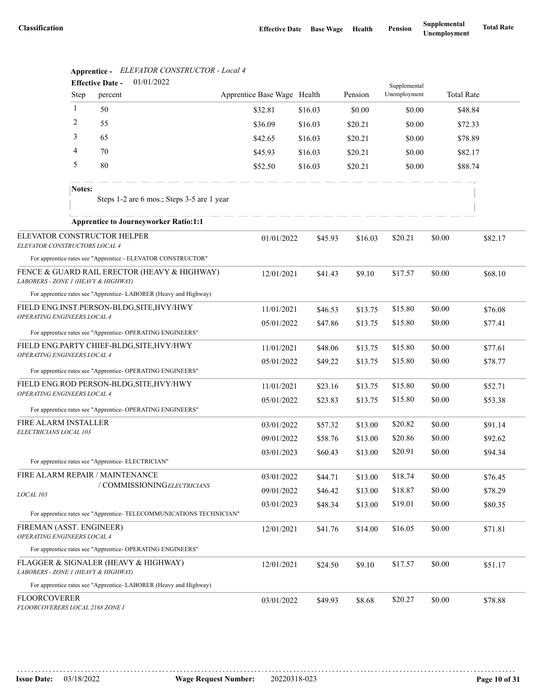|                                                                          |              | 01/01/2022<br><b>Effective Date -</b>                             |                                                                      |                             |         |         | Supplemental |                  |                   |         |
|--------------------------------------------------------------------------|--------------|-------------------------------------------------------------------|----------------------------------------------------------------------|-----------------------------|---------|---------|--------------|------------------|-------------------|---------|
|                                                                          | Step         | percent                                                           |                                                                      | Apprentice Base Wage Health |         | Pension | Unemployment |                  | <b>Total Rate</b> |         |
|                                                                          | $\mathbf{1}$ | 50                                                                |                                                                      | \$32.81                     | \$16.03 | \$0.00  | \$0.00       |                  | \$48.84           |         |
|                                                                          | 2            | 55                                                                |                                                                      | \$36.09                     | \$16.03 | \$20.21 | \$0.00       |                  | \$72.33           |         |
|                                                                          | 3            | 65                                                                |                                                                      | \$42.65                     | \$16.03 | \$20.21 | \$0.00       |                  | \$78.89           |         |
|                                                                          | 4            | 70                                                                |                                                                      | \$45.93                     | \$16.03 | \$20.21 | \$0.00       |                  | \$82.17           |         |
|                                                                          | 5            | 80                                                                |                                                                      | \$52.50                     | \$16.03 | \$20.21 | \$0.00       |                  | \$88.74           |         |
|                                                                          | Notes:       |                                                                   | Steps 1-2 are 6 mos.; Steps 3-5 are 1 year                           |                             |         |         |              |                  |                   |         |
|                                                                          |              | <b>Apprentice to Journeyworker Ratio:1:1</b>                      |                                                                      |                             |         |         |              |                  |                   |         |
| ELEVATOR CONSTRUCTOR HELPER<br>ELEVATOR CONSTRUCTORS LOCAL 4             |              |                                                                   |                                                                      | 01/01/2022                  | \$45.93 | \$16.03 | \$20.21      | \$0.00           |                   | \$82.17 |
|                                                                          |              | For apprentice rates see "Apprentice - ELEVATOR CONSTRUCTOR"      |                                                                      |                             |         |         |              |                  |                   |         |
| LABORERS - ZONE 1 (HEAVY & HIGHWAY)                                      |              |                                                                   | FENCE & GUARD RAIL ERECTOR (HEAVY & HIGHWAY)                         | 12/01/2021                  | \$41.43 | \$9.10  | \$17.57      | \$0.00           |                   | \$68.10 |
|                                                                          |              | For apprentice rates see "Apprentice- LABORER (Heavy and Highway) |                                                                      |                             |         |         |              |                  |                   |         |
| FIELD ENG.INST.PERSON-BLDG, SITE, HVY/HWY<br>OPERATING ENGINEERS LOCAL 4 |              | 11/01/2021                                                        | \$46.53                                                              | \$13.75                     | \$15.80 | \$0.00  |              | \$76.08          |                   |         |
|                                                                          |              |                                                                   |                                                                      | 05/01/2022                  | \$47.86 | \$13.75 | \$15.80      | \$0.00           |                   | \$77.41 |
|                                                                          |              | For apprentice rates see "Apprentice- OPERATING ENGINEERS"        |                                                                      |                             |         |         |              |                  |                   |         |
| FIELD ENG.PARTY CHIEF-BLDG, SITE, HVY/HWY<br>OPERATING ENGINEERS LOCAL 4 |              | 11/01/2021                                                        | \$48.06                                                              | \$13.75                     | \$15.80 | \$0.00  |              | \$77.61          |                   |         |
|                                                                          |              | For apprentice rates see "Apprentice- OPERATING ENGINEERS"        |                                                                      | 05/01/2022                  | \$49.22 | \$13.75 | \$15.80      | \$0.00           |                   | \$78.77 |
|                                                                          |              | FIELD ENG.ROD PERSON-BLDG, SITE, HVY/HWY                          |                                                                      |                             |         |         |              |                  |                   |         |
| OPERATING ENGINEERS LOCAL 4                                              |              |                                                                   |                                                                      | 11/01/2021                  | \$23.16 | \$13.75 | \$15.80      | \$0.00<br>\$0.00 |                   | \$52.71 |
|                                                                          |              | For apprentice rates see "Apprentice- OPERATING ENGINEERS"        |                                                                      | 05/01/2022                  | \$23.83 | \$13.75 | \$15.80      |                  |                   | \$53.38 |
| FIRE ALARM INSTALLER                                                     |              |                                                                   |                                                                      | 03/01/2022                  | \$57.32 | \$13.00 | \$20.82      | \$0.00           |                   | \$91.14 |
| ELECTRICIANS LOCAL 103                                                   |              |                                                                   |                                                                      | 09/01/2022                  | \$58.76 | \$13.00 | \$20.86      | \$0.00           |                   | \$92.62 |
|                                                                          |              |                                                                   |                                                                      | 03/01/2023                  | \$60.43 | \$13.00 | \$20.91      | \$0.00           |                   | \$94.34 |
|                                                                          |              | For apprentice rates see "Apprentice- ELECTRICIAN"                |                                                                      |                             |         |         |              |                  |                   |         |
|                                                                          |              | FIRE ALARM REPAIR / MAINTENANCE                                   |                                                                      | 03/01/2022                  | \$44.71 | \$13.00 | \$18.74      | \$0.00           |                   | \$76.45 |
| LOCAL 103                                                                |              | / COMMISSIONINGELECTRICIANS                                       |                                                                      | 09/01/2022                  | \$46.42 | \$13.00 | \$18.87      | \$0.00           |                   | \$78.29 |
|                                                                          |              |                                                                   |                                                                      | 03/01/2023                  | \$48.34 | \$13.00 | \$19.01      | \$0.00           |                   | \$80.35 |
|                                                                          |              |                                                                   | For apprentice rates see "Apprentice- TELECOMMUNICATIONS TECHNICIAN" |                             |         |         |              |                  |                   |         |
| FIREMAN (ASST. ENGINEER)<br>OPERATING ENGINEERS LOCAL 4                  |              |                                                                   |                                                                      | 12/01/2021                  | \$41.76 | \$14.00 | \$16.05      | \$0.00           |                   | \$71.81 |
|                                                                          |              | For apprentice rates see "Apprentice- OPERATING ENGINEERS"        |                                                                      |                             |         |         |              |                  |                   |         |
| LABORERS - ZONE 1 (HEAVY & HIGHWAY)                                      |              | FLAGGER & SIGNALER (HEAVY & HIGHWAY)                              |                                                                      | 12/01/2021                  | \$24.50 | \$9.10  | \$17.57      | \$0.00           |                   | \$51.17 |
|                                                                          |              | For apprentice rates see "Apprentice- LABORER (Heavy and Highway) |                                                                      |                             |         |         |              |                  |                   |         |
| <b>FLOORCOVERER</b><br>FLOORCOVERERS LOCAL 2168 ZONE I                   |              |                                                                   |                                                                      | 03/01/2022                  | \$49.93 | \$8.68  | \$20.27      | \$0.00           |                   | \$78.88 |

## **Apprentice -** *ELEVATOR CONSTRUCTOR - Local 4*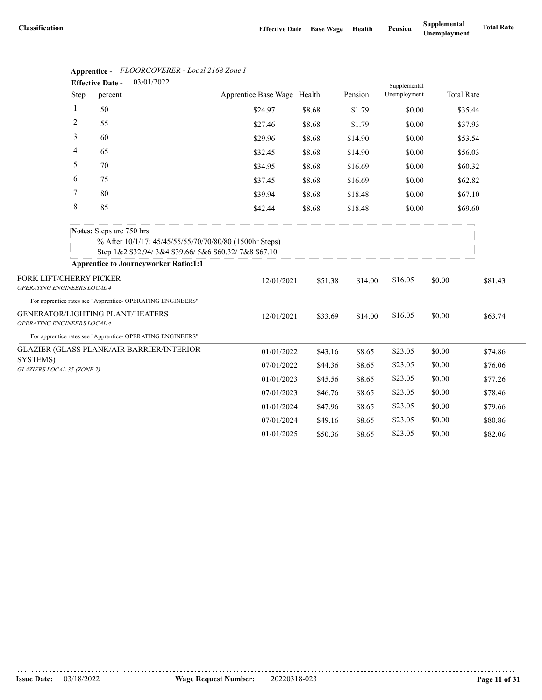|                                                        |             | 03/01/2022<br><b>Effective Date -</b>                                     |                                                                                                                 |        |         |         | Supplemental |        |                   |         |
|--------------------------------------------------------|-------------|---------------------------------------------------------------------------|-----------------------------------------------------------------------------------------------------------------|--------|---------|---------|--------------|--------|-------------------|---------|
|                                                        | <b>Step</b> | percent                                                                   | Apprentice Base Wage Health                                                                                     |        |         | Pension | Unemployment |        | <b>Total Rate</b> |         |
|                                                        | 1           | 50                                                                        | \$24.97                                                                                                         | \$8.68 |         | \$1.79  | \$0.00       |        | \$35.44           |         |
|                                                        | 2           | 55                                                                        | \$27.46                                                                                                         | \$8.68 |         | \$1.79  | \$0.00       |        | \$37.93           |         |
|                                                        | 3           | 60                                                                        | \$29.96                                                                                                         | \$8.68 |         | \$14.90 | \$0.00       |        | \$53.54           |         |
|                                                        | 4           | 65                                                                        | \$32.45                                                                                                         | \$8.68 |         | \$14.90 | \$0.00       |        | \$56.03           |         |
|                                                        | 5           | 70                                                                        | \$34.95                                                                                                         | \$8.68 |         | \$16.69 | \$0.00       |        | \$60.32           |         |
|                                                        | 6           | 75                                                                        | \$37.45                                                                                                         | \$8.68 |         | \$16.69 | \$0.00       |        | \$62.82           |         |
|                                                        | 7           | 80                                                                        | \$39.94                                                                                                         | \$8.68 |         | \$18.48 | \$0.00       |        | \$67.10           |         |
|                                                        | $\,8\,$     | 85                                                                        | \$42.44                                                                                                         | \$8.68 |         | \$18.48 | \$0.00       |        | \$69.60           |         |
|                                                        |             | Notes: Steps are 750 hrs.<br><b>Apprentice to Journeyworker Ratio:1:1</b> | % After 10/1/17; 45/45/55/55/70/70/80/80 (1500hr Steps)<br>Step 1&2 \$32.94/3&4 \$39.66/5&6 \$60.32/7&8 \$67.10 |        |         |         |              |        |                   |         |
|                                                        |             |                                                                           |                                                                                                                 |        |         |         |              |        |                   |         |
| FORK LIFT/CHERRY PICKER<br>OPERATING ENGINEERS LOCAL 4 |             |                                                                           | 12/01/2021                                                                                                      |        | \$51.38 | \$14.00 | \$16.05      | \$0.00 |                   | \$81.43 |
|                                                        |             | For apprentice rates see "Apprentice- OPERATING ENGINEERS"                |                                                                                                                 |        |         |         |              |        |                   |         |
| OPERATING ENGINEERS LOCAL 4                            |             | GENERATOR/LIGHTING PLANT/HEATERS                                          | 12/01/2021                                                                                                      |        | \$33.69 | \$14.00 | \$16.05      | \$0.00 |                   | \$63.74 |
|                                                        |             | For apprentice rates see "Apprentice- OPERATING ENGINEERS"                |                                                                                                                 |        |         |         |              |        |                   |         |
|                                                        |             | GLAZIER (GLASS PLANK/AIR BARRIER/INTERIOR                                 | 01/01/2022                                                                                                      |        | \$43.16 | \$8.65  | \$23.05      | \$0.00 |                   | \$74.86 |
| SYSTEMS)<br>GLAZIERS LOCAL 35 (ZONE 2)                 |             |                                                                           | 07/01/2022                                                                                                      |        | \$44.36 | \$8.65  | \$23.05      | \$0.00 |                   | \$76.06 |
|                                                        |             |                                                                           | 01/01/2023                                                                                                      |        | \$45.56 | \$8.65  | \$23.05      | \$0.00 |                   | \$77.26 |
|                                                        |             |                                                                           | 07/01/2023                                                                                                      |        | \$46.76 | \$8.65  | \$23.05      | \$0.00 |                   | \$78.46 |
|                                                        |             |                                                                           | 01/01/2024                                                                                                      |        | \$47.96 | \$8.65  | \$23.05      | \$0.00 |                   | \$79.66 |
|                                                        |             |                                                                           | 07/01/2024                                                                                                      |        | \$49.16 | \$8.65  | \$23.05      | \$0.00 |                   | \$80.86 |
|                                                        |             |                                                                           | 01/01/2025                                                                                                      |        | \$50.36 | \$8.65  | \$23.05      | \$0.00 |                   | \$82.06 |

# **Apprentice -** *FLOORCOVERER - Local 2168 Zone I*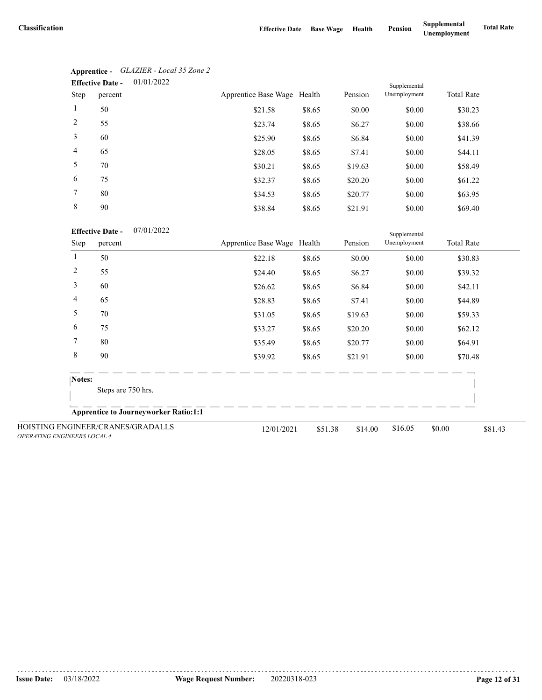|                 | 01/01/2022<br><b>Effective Date -</b> |                             |        |         | Supplemental |                   |
|-----------------|---------------------------------------|-----------------------------|--------|---------|--------------|-------------------|
| Step            | percent                               | Apprentice Base Wage Health |        | Pension | Unemployment | <b>Total Rate</b> |
| $\mathbf{1}$    | 50                                    | \$21.58                     | \$8.65 | \$0.00  | \$0.00       | \$30.23           |
| 2               | 55                                    | \$23.74                     | \$8.65 | \$6.27  | \$0.00       | \$38.66           |
| 3               | 60                                    | \$25.90                     | \$8.65 | \$6.84  | \$0.00       | \$41.39           |
| $\overline{4}$  | 65                                    | \$28.05                     | \$8.65 | \$7.41  | \$0.00       | \$44.11           |
| 5               | 70                                    | \$30.21                     | \$8.65 | \$19.63 | \$0.00       | \$58.49           |
| 6               | 75                                    | \$32.37                     | \$8.65 | \$20.20 | \$0.00       | \$61.22           |
| $7\phantom{.0}$ | 80                                    | \$34.53                     | \$8.65 | \$20.77 | \$0.00       | \$63.95           |
| 8               | 90                                    | \$38.84                     | \$8.65 | \$21.91 | \$0.00       | \$69.40           |

| Apprentice -            | GLAZIER - Local 35 Zone 2 |
|-------------------------|---------------------------|
| <b>Effective Date -</b> | 01/01/2022                |

|                                                                         | <b>Effective Date -</b><br>07/01/2022 |                                              |                             |         |         | Supplemental |                   |         |
|-------------------------------------------------------------------------|---------------------------------------|----------------------------------------------|-----------------------------|---------|---------|--------------|-------------------|---------|
| Step                                                                    | percent                               |                                              | Apprentice Base Wage Health |         | Pension | Unemployment | <b>Total Rate</b> |         |
| 1                                                                       | 50                                    |                                              | \$22.18                     | \$8.65  | \$0.00  | \$0.00       | \$30.83           |         |
| 2                                                                       | 55                                    |                                              | \$24.40                     | \$8.65  | \$6.27  | \$0.00       | \$39.32           |         |
| 3                                                                       | 60                                    |                                              | \$26.62                     | \$8.65  | \$6.84  | \$0.00       | \$42.11           |         |
| 4                                                                       | 65                                    |                                              | \$28.83                     | \$8.65  | \$7.41  | \$0.00       | \$44.89           |         |
| 5                                                                       | 70                                    |                                              | \$31.05                     | \$8.65  | \$19.63 | \$0.00       | \$59.33           |         |
| 6                                                                       | 75                                    |                                              | \$33.27                     | \$8.65  | \$20.20 | \$0.00       | \$62.12           |         |
| 7                                                                       | 80                                    |                                              | \$35.49                     | \$8.65  | \$20.77 | \$0.00       | \$64.91           |         |
| 8                                                                       | 90                                    |                                              | \$39.92                     | \$8.65  | \$21.91 | \$0.00       | \$70.48           |         |
| Notes:                                                                  | Steps are 750 hrs.                    |                                              |                             |         |         |              |                   |         |
|                                                                         |                                       | <b>Apprentice to Journeyworker Ratio:1:1</b> |                             |         |         |              |                   |         |
| HOISTING ENGINEER/CRANES/GRADALLS<br><b>OPERATING ENGINEERS LOCAL 4</b> |                                       |                                              | 12/01/2021                  | \$51.38 | \$14.00 | \$16.05      | \$0.00            | \$81.43 |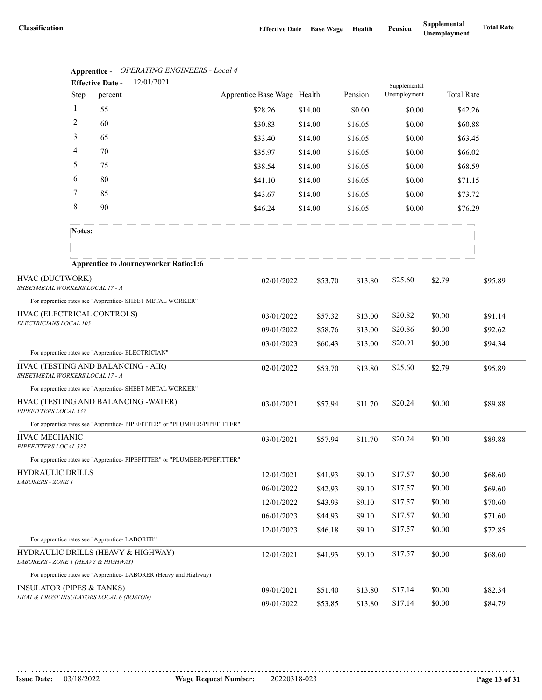|                                                    | Apprenuce -    | Of ERATHYO ENGINEERS - Local 7<br>12/01/2021<br><b>Effective Date -</b>  |                             |         |         |                              |        |                   |
|----------------------------------------------------|----------------|--------------------------------------------------------------------------|-----------------------------|---------|---------|------------------------------|--------|-------------------|
|                                                    | Step           | percent                                                                  | Apprentice Base Wage Health |         | Pension | Supplemental<br>Unemployment |        | <b>Total Rate</b> |
|                                                    | $\mathbf{1}$   | 55                                                                       | \$28.26                     | \$14.00 | \$0.00  | \$0.00                       |        | \$42.26           |
|                                                    | $\overline{c}$ | 60                                                                       | \$30.83                     | \$14.00 | \$16.05 | \$0.00                       |        | \$60.88           |
|                                                    | 3              | 65                                                                       | \$33.40                     | \$14.00 | \$16.05 | \$0.00                       |        | \$63.45           |
|                                                    | 4              | 70                                                                       | \$35.97                     | \$14.00 | \$16.05 | \$0.00                       |        | \$66.02           |
|                                                    | 5              | 75                                                                       | \$38.54                     | \$14.00 | \$16.05 | \$0.00                       |        | \$68.59           |
|                                                    | 6              | 80                                                                       | \$41.10                     | \$14.00 | \$16.05 | \$0.00                       |        | \$71.15           |
|                                                    | 7              | 85                                                                       | \$43.67                     | \$14.00 | \$16.05 | \$0.00                       |        | \$73.72           |
|                                                    | 8              | 90                                                                       | \$46.24                     | \$14.00 | \$16.05 | \$0.00                       |        | \$76.29           |
|                                                    | Notes:         |                                                                          |                             |         |         |                              |        |                   |
|                                                    |                |                                                                          |                             |         |         |                              |        |                   |
|                                                    |                | <b>Apprentice to Journeyworker Ratio:1:6</b>                             |                             |         |         |                              |        |                   |
| HVAC (DUCTWORK)<br>SHEETMETAL WORKERS LOCAL 17 - A |                |                                                                          | 02/01/2022                  | \$53.70 | \$13.80 | \$25.60                      | \$2.79 | \$95.89           |
|                                                    |                | For apprentice rates see "Apprentice- SHEET METAL WORKER"                |                             |         |         |                              |        |                   |
| HVAC (ELECTRICAL CONTROLS)                         |                |                                                                          | 03/01/2022                  | \$57.32 | \$13.00 | \$20.82                      | \$0.00 | \$91.14           |
| ELECTRICIANS LOCAL 103                             |                |                                                                          | 09/01/2022                  | \$58.76 | \$13.00 | \$20.86                      | \$0.00 | \$92.62           |
|                                                    |                |                                                                          | 03/01/2023                  | \$60.43 | \$13.00 | \$20.91                      | \$0.00 | \$94.34           |
|                                                    |                | For apprentice rates see "Apprentice- ELECTRICIAN"                       |                             |         |         |                              |        |                   |
| SHEETMETAL WORKERS LOCAL 17 - A                    |                | HVAC (TESTING AND BALANCING - AIR)                                       | 02/01/2022                  | \$53.70 | \$13.80 | \$25.60                      | \$2.79 | \$95.89           |
|                                                    |                | For apprentice rates see "Apprentice- SHEET METAL WORKER"                |                             |         |         |                              |        |                   |
| PIPEFITTERS LOCAL 537                              |                | HVAC (TESTING AND BALANCING -WATER)                                      | 03/01/2021                  | \$57.94 | \$11.70 | \$20.24                      | \$0.00 | \$89.88           |
|                                                    |                | For apprentice rates see "Apprentice-PIPEFITTER" or "PLUMBER/PIPEFITTER" |                             |         |         |                              |        |                   |
| HVAC MECHANIC<br>PIPEFITTERS LOCAL 537             |                |                                                                          | 03/01/2021                  | \$57.94 | \$11.70 | \$20.24                      | \$0.00 | \$89.88           |
|                                                    |                | For apprentice rates see "Apprentice-PIPEFITTER" or "PLUMBER/PIPEFITTER" |                             |         |         |                              |        |                   |
| HYDRAULIC DRILLS                                   |                |                                                                          | 12/01/2021                  | \$41.93 | \$9.10  | \$17.57                      | \$0.00 | \$68.60           |
| LABORERS - ZONE 1                                  |                |                                                                          | 06/01/2022                  | \$42.93 | \$9.10  | \$17.57                      | \$0.00 | \$69.60           |
|                                                    |                |                                                                          | 12/01/2022                  | \$43.93 | \$9.10  | \$17.57                      | \$0.00 | \$70.60           |
|                                                    |                |                                                                          | 06/01/2023                  | \$44.93 | \$9.10  | \$17.57                      | \$0.00 | \$71.60           |
|                                                    |                |                                                                          | 12/01/2023                  | \$46.18 | \$9.10  | \$17.57                      | \$0.00 | \$72.85           |
|                                                    |                | For apprentice rates see "Apprentice- LABORER"                           |                             |         |         |                              |        |                   |
| LABORERS - ZONE 1 (HEAVY & HIGHWAY)                |                | HYDRAULIC DRILLS (HEAVY & HIGHWAY)                                       | 12/01/2021                  | \$41.93 | \$9.10  | \$17.57                      | \$0.00 | \$68.60           |
|                                                    |                | For apprentice rates see "Apprentice-LABORER (Heavy and Highway)         |                             |         |         |                              |        |                   |
| <b>INSULATOR (PIPES &amp; TANKS)</b>               |                |                                                                          | 09/01/2021                  | \$51.40 | \$13.80 | \$17.14                      | \$0.00 | \$82.34           |
|                                                    |                | HEAT & FROST INSULATORS LOCAL 6 (BOSTON)                                 | 09/01/2022                  | \$53.85 | \$13.80 | \$17.14                      | \$0.00 | \$84.79           |

**Apprentice -** *OPERATING ENGINEERS - Local 4*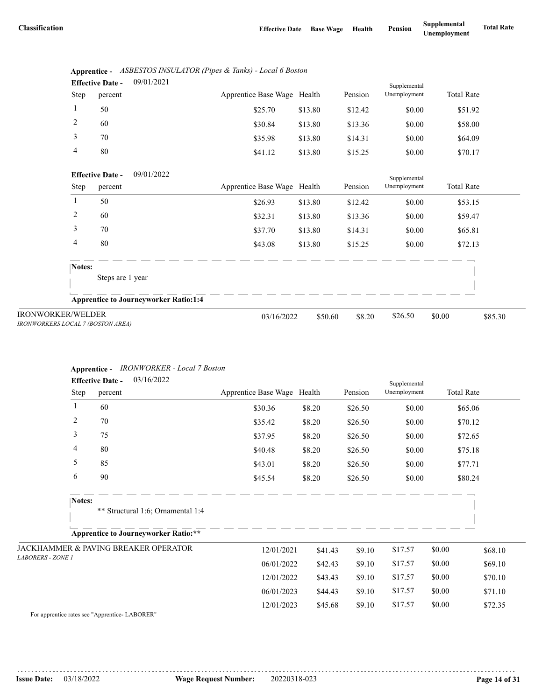|                | <b>Effective Date -</b> | 09/01/2021 |                             |         |         | Supplemental |                   |  |
|----------------|-------------------------|------------|-----------------------------|---------|---------|--------------|-------------------|--|
| Step           | percent                 |            | Apprentice Base Wage Health |         | Pension | Unemployment | <b>Total Rate</b> |  |
|                | 50                      |            | \$25.70                     | \$13.80 | \$12.42 | \$0.00       | \$51.92           |  |
| 2              | 60                      |            | \$30.84                     | \$13.80 | \$13.36 | \$0.00       | \$58.00           |  |
| 3              | 70                      |            | \$35.98                     | \$13.80 | \$14.31 | \$0.00       | \$64.09           |  |
| $\overline{4}$ | 80                      |            | \$41.12                     | \$13.80 | \$15.25 | \$0.00       | \$70.17           |  |

|      | Apprentice - ASBESTOS INSULATOR (Pipes & Tanks) - Local 6 Boston |
|------|------------------------------------------------------------------|
| $ -$ | 0.010110001                                                      |

| Step                                                          | 09/01/2022<br><b>Effective Date -</b><br>percent | Apprentice Base Wage Health |         | Pension | Supplemental<br>Unemployment | <b>Total Rate</b> |         |
|---------------------------------------------------------------|--------------------------------------------------|-----------------------------|---------|---------|------------------------------|-------------------|---------|
|                                                               | 50                                               | \$26.93                     | \$13.80 | \$12.42 | \$0.00                       | \$53.15           |         |
| 2                                                             | 60                                               | \$32.31                     | \$13.80 | \$13.36 | \$0.00                       | \$59.47           |         |
| 3                                                             | 70                                               | \$37.70                     | \$13.80 | \$14.31 | \$0.00                       | \$65.81           |         |
| 4                                                             | 80                                               | \$43.08                     | \$13.80 | \$15.25 | \$0.00                       | \$72.13           |         |
| Notes:                                                        | Steps are 1 year                                 |                             |         |         |                              |                   |         |
|                                                               | <b>Apprentice to Journeyworker Ratio:1:4</b>     |                             |         |         |                              |                   |         |
| <b>IRONWORKER/WELDER</b><br>IRONWORKERS LOCAL 7 (BOSTON AREA) |                                                  | 03/16/2022                  | \$50.60 | \$8.20  | \$26.50                      | \$0.00            | \$85.30 |

### **Apprentice -** *IRONWORKER - Local 7 Boston*

|                          | 03/16/2022<br><b>Effective Date -</b>       |                             |         |         | Supplemental |                   |         |
|--------------------------|---------------------------------------------|-----------------------------|---------|---------|--------------|-------------------|---------|
| Step                     | percent                                     | Apprentice Base Wage Health |         | Pension | Unemployment | <b>Total Rate</b> |         |
| 1                        | 60                                          | \$30.36                     | \$8.20  | \$26.50 | \$0.00       | \$65.06           |         |
| 2                        | 70                                          | \$35.42                     | \$8.20  | \$26.50 | \$0.00       | \$70.12           |         |
| 3                        | 75                                          | \$37.95                     | \$8.20  | \$26.50 | \$0.00       | \$72.65           |         |
| 4                        | 80                                          | \$40.48                     | \$8.20  | \$26.50 | \$0.00       | \$75.18           |         |
| 5                        | 85                                          | \$43.01                     | \$8.20  | \$26.50 | \$0.00       | \$77.71           |         |
| 6                        | 90                                          | \$45.54                     | \$8.20  | \$26.50 | \$0.00       | \$80.24           |         |
| Notes:                   | ** Structural 1:6; Ornamental 1:4           |                             |         |         |              |                   |         |
|                          | <b>Apprentice to Journeyworker Ratio:**</b> |                             |         |         |              |                   |         |
|                          | JACKHAMMER & PAVING BREAKER OPERATOR        | 12/01/2021                  | \$41.43 | \$9.10  | \$17.57      | \$0.00            | \$68.10 |
| <b>LABORERS - ZONE 1</b> |                                             | 06/01/2022                  | \$42.43 | \$9.10  | \$17.57      | \$0.00            | \$69.10 |
|                          |                                             | 12/01/2022                  | \$43.43 | \$9.10  | \$17.57      | \$0.00            | \$70.10 |
|                          |                                             | 06/01/2023                  | \$44.43 | \$9.10  | \$17.57      | \$0.00            | \$71.10 |
|                          |                                             | 12/01/2023                  | \$45.68 | \$9.10  | \$17.57      | \$0.00            | \$72.35 |

For apprentice rates see "Apprentice- LABORER"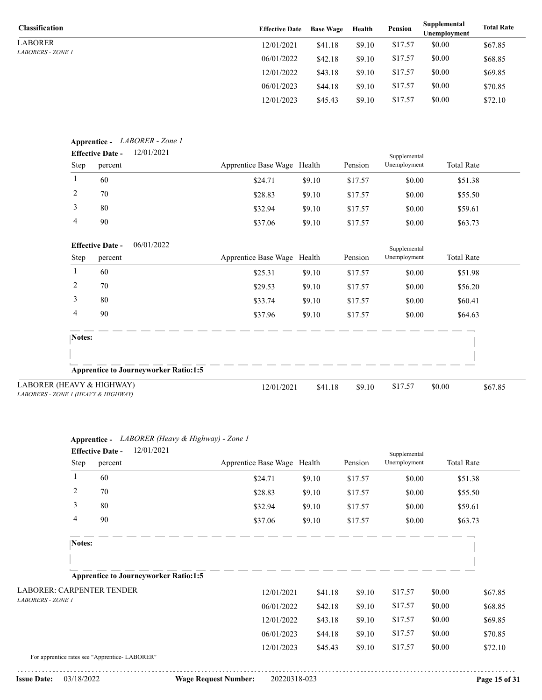LABORER *LABORERS - ZONE 1*

| <b>Classification</b>    | <b>Effective Date</b> | <b>Base Wage</b> | Health | Pension | Supplemental<br>Unemplovment | <b>Total Rate</b> |
|--------------------------|-----------------------|------------------|--------|---------|------------------------------|-------------------|
| LABORER                  | 12/01/2021            | \$41.18          | \$9.10 | \$17.57 | \$0.00                       | \$67.85           |
| <i>LABORERS - ZONE 1</i> | 06/01/2022            | \$42.18          | \$9.10 | \$17.57 | \$0.00                       | \$68.85           |
|                          | 12/01/2022            | \$43.18          | \$9.10 | \$17.57 | \$0.00                       | \$69.85           |
|                          | 06/01/2023            | \$44.18          | \$9.10 | \$17.57 | \$0.00                       | \$70.85           |
|                          | 12/01/2023            | \$45.43          | \$9.10 | \$17.57 | \$0.00                       | \$72.10           |

|         | <b>Effective Date -</b>                               | 12/01/2021                                   |                             |         |         | Supplemental |                   |
|---------|-------------------------------------------------------|----------------------------------------------|-----------------------------|---------|---------|--------------|-------------------|
| Step    | percent                                               |                                              | Apprentice Base Wage Health |         | Pension | Unemployment | <b>Total Rate</b> |
| 1       | 60                                                    |                                              | \$24.71                     | \$9.10  | \$17.57 | \$0.00       | \$51.38           |
| 2       | 70                                                    |                                              | \$28.83                     | \$9.10  | \$17.57 | \$0.00       | \$55.50           |
| 3       | 80                                                    |                                              | \$32.94                     | \$9.10  | \$17.57 | \$0.00       | \$59.61           |
| 4       | 90                                                    |                                              | \$37.06                     | \$9.10  | \$17.57 | \$0.00       | \$63.73           |
|         | <b>Effective Date -</b>                               | 06/01/2022                                   |                             |         |         | Supplemental |                   |
| Step    | percent                                               |                                              | Apprentice Base Wage Health |         | Pension | Unemployment | <b>Total Rate</b> |
| $\perp$ | 60                                                    |                                              | \$25.31                     | \$9.10  | \$17.57 | \$0.00       | \$51.98           |
| 2       | 70                                                    |                                              | \$29.53                     | \$9.10  | \$17.57 | \$0.00       | \$56.20           |
| 3       | 80                                                    |                                              | \$33.74                     | \$9.10  | \$17.57 | \$0.00       | \$60.41           |
| 4       | 90                                                    |                                              | \$37.96                     | \$9.10  | \$17.57 | \$0.00       | \$64.63           |
| Notes:  |                                                       |                                              |                             |         |         |              |                   |
|         |                                                       |                                              |                             |         |         |              |                   |
|         |                                                       | <b>Apprentice to Journeyworker Ratio:1:5</b> |                             |         |         |              |                   |
|         | EAVY & HIGHWAY)<br>F. I <i>(HEAVY &amp; HIGHWAY</i> ) |                                              | 12/01/2021                  | \$41.18 | \$9.10  | \$17.57      | \$0.00<br>\$67.85 |

| LABORER (HEAVY & HIGHWAY)           |
|-------------------------------------|
| LABORERS - ZONE 1 (HEAVY & HIGHWAY) |

|                                                | Apprentice - LABORER (Heavy & Highway) - Zone 1  |                             |         |         |                              |                   |         |
|------------------------------------------------|--------------------------------------------------|-----------------------------|---------|---------|------------------------------|-------------------|---------|
| Step                                           | 12/01/2021<br><b>Effective Date -</b><br>percent | Apprentice Base Wage Health |         | Pension | Supplemental<br>Unemployment | <b>Total Rate</b> |         |
| 1                                              | 60                                               | \$24.71                     | \$9.10  | \$17.57 | \$0.00                       | \$51.38           |         |
| 2                                              | 70                                               | \$28.83                     | \$9.10  | \$17.57 | \$0.00                       | \$55.50           |         |
| 3                                              | 80                                               | \$32.94                     | \$9.10  | \$17.57 | \$0.00                       | \$59.61           |         |
| 4                                              | 90                                               | \$37.06                     | \$9.10  | \$17.57 | \$0.00                       | \$63.73           |         |
| Notes:                                         |                                                  |                             |         |         |                              |                   |         |
|                                                |                                                  |                             |         |         |                              |                   |         |
|                                                | <b>Apprentice to Journeyworker Ratio:1:5</b>     |                             |         |         |                              |                   |         |
| <b>LABORER: CARPENTER TENDER</b>               |                                                  | 12/01/2021                  | \$41.18 | \$9.10  | \$17.57                      | \$0.00            | \$67.85 |
| <b>LABORERS - ZONE 1</b>                       |                                                  | 06/01/2022                  | \$42.18 | \$9.10  | \$17.57                      | \$0.00            | \$68.85 |
|                                                |                                                  | 12/01/2022                  | \$43.18 | \$9.10  | \$17.57                      | \$0.00            | \$69.85 |
|                                                |                                                  | 06/01/2023                  | \$44.18 | \$9.10  | \$17.57                      | \$0.00            | \$70.85 |
| For apprentice rates see "Apprentice- LABORER" |                                                  | 12/01/2023                  | \$45.43 | \$9.10  | \$17.57                      | \$0.00            | \$72.10 |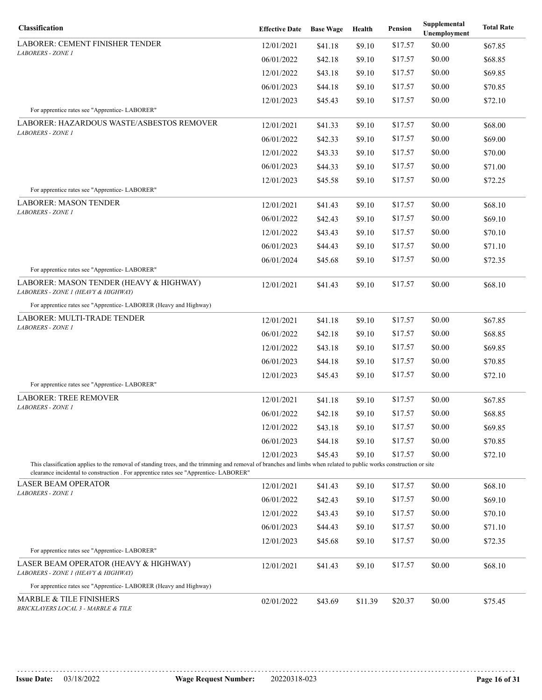| Classification                                                                                                                                                                                                                                             | <b>Effective Date</b> | <b>Base Wage</b> | Health  | Pension | Supplemental<br>Unemployment | <b>Total Rate</b> |
|------------------------------------------------------------------------------------------------------------------------------------------------------------------------------------------------------------------------------------------------------------|-----------------------|------------------|---------|---------|------------------------------|-------------------|
| LABORER: CEMENT FINISHER TENDER                                                                                                                                                                                                                            | 12/01/2021            | \$41.18          | \$9.10  | \$17.57 | \$0.00                       | \$67.85           |
| LABORERS - ZONE 1                                                                                                                                                                                                                                          | 06/01/2022            | \$42.18          | \$9.10  | \$17.57 | \$0.00                       | \$68.85           |
|                                                                                                                                                                                                                                                            | 12/01/2022            | \$43.18          | \$9.10  | \$17.57 | \$0.00                       | \$69.85           |
|                                                                                                                                                                                                                                                            | 06/01/2023            | \$44.18          | \$9.10  | \$17.57 | \$0.00                       | \$70.85           |
|                                                                                                                                                                                                                                                            | 12/01/2023            | \$45.43          | \$9.10  | \$17.57 | \$0.00                       | \$72.10           |
| For apprentice rates see "Apprentice- LABORER"                                                                                                                                                                                                             |                       |                  |         |         |                              |                   |
| LABORER: HAZARDOUS WASTE/ASBESTOS REMOVER<br>LABORERS - ZONE 1                                                                                                                                                                                             | 12/01/2021            | \$41.33          | \$9.10  | \$17.57 | \$0.00                       | \$68.00           |
|                                                                                                                                                                                                                                                            | 06/01/2022            | \$42.33          | \$9.10  | \$17.57 | \$0.00                       | \$69.00           |
|                                                                                                                                                                                                                                                            | 12/01/2022            | \$43.33          | \$9.10  | \$17.57 | \$0.00                       | \$70.00           |
|                                                                                                                                                                                                                                                            | 06/01/2023            | \$44.33          | \$9.10  | \$17.57 | \$0.00                       | \$71.00           |
|                                                                                                                                                                                                                                                            | 12/01/2023            | \$45.58          | \$9.10  | \$17.57 | \$0.00                       | \$72.25           |
| For apprentice rates see "Apprentice-LABORER"                                                                                                                                                                                                              |                       |                  |         |         |                              |                   |
| <b>LABORER: MASON TENDER</b><br>LABORERS - ZONE 1                                                                                                                                                                                                          | 12/01/2021            | \$41.43          | \$9.10  | \$17.57 | \$0.00                       | \$68.10           |
|                                                                                                                                                                                                                                                            | 06/01/2022            | \$42.43          | \$9.10  | \$17.57 | \$0.00                       | \$69.10           |
|                                                                                                                                                                                                                                                            | 12/01/2022            | \$43.43          | \$9.10  | \$17.57 | \$0.00                       | \$70.10           |
|                                                                                                                                                                                                                                                            | 06/01/2023            | \$44.43          | \$9.10  | \$17.57 | \$0.00                       | \$71.10           |
|                                                                                                                                                                                                                                                            | 06/01/2024            | \$45.68          | \$9.10  | \$17.57 | \$0.00                       | \$72.35           |
| For apprentice rates see "Apprentice- LABORER"<br>LABORER: MASON TENDER (HEAVY & HIGHWAY)<br>LABORERS - ZONE 1 (HEAVY & HIGHWAY)                                                                                                                           | 12/01/2021            | \$41.43          | \$9.10  | \$17.57 | \$0.00                       | \$68.10           |
| For apprentice rates see "Apprentice- LABORER (Heavy and Highway)                                                                                                                                                                                          |                       |                  |         |         |                              |                   |
| LABORER: MULTI-TRADE TENDER                                                                                                                                                                                                                                | 12/01/2021            | \$41.18          | \$9.10  | \$17.57 | \$0.00                       | \$67.85           |
| LABORERS - ZONE 1                                                                                                                                                                                                                                          | 06/01/2022            | \$42.18          | \$9.10  | \$17.57 | \$0.00                       | \$68.85           |
|                                                                                                                                                                                                                                                            | 12/01/2022            | \$43.18          | \$9.10  | \$17.57 | \$0.00                       | \$69.85           |
|                                                                                                                                                                                                                                                            | 06/01/2023            | \$44.18          | \$9.10  | \$17.57 | \$0.00                       | \$70.85           |
|                                                                                                                                                                                                                                                            | 12/01/2023            | \$45.43          | \$9.10  | \$17.57 | \$0.00                       | \$72.10           |
| For apprentice rates see "Apprentice-LABORER"                                                                                                                                                                                                              |                       |                  |         |         |                              |                   |
| <b>LABORER: TREE REMOVER</b>                                                                                                                                                                                                                               | 12/01/2021            | \$41.18          | \$9.10  | \$17.57 | \$0.00                       | \$67.85           |
| <b>LABORERS - ZONE 1</b>                                                                                                                                                                                                                                   | 06/01/2022            | \$42.18          | \$9.10  | \$17.57 | \$0.00                       | \$68.85           |
|                                                                                                                                                                                                                                                            | 12/01/2022            | \$43.18          | \$9.10  | \$17.57 | \$0.00                       | \$69.85           |
|                                                                                                                                                                                                                                                            | 06/01/2023            | \$44.18          | \$9.10  | \$17.57 | \$0.00                       | \$70.85           |
|                                                                                                                                                                                                                                                            | 12/01/2023            | \$45.43          | \$9.10  | \$17.57 | \$0.00                       | \$72.10           |
| This classification applies to the removal of standing trees, and the trimming and removal of branches and limbs when related to public works construction or site<br>clearance incidental to construction . For apprentice rates see "Apprentice-LABORER" |                       |                  |         |         |                              |                   |
| <b>LASER BEAM OPERATOR</b>                                                                                                                                                                                                                                 | 12/01/2021            | \$41.43          | \$9.10  | \$17.57 | \$0.00                       | \$68.10           |
| LABORERS - ZONE 1                                                                                                                                                                                                                                          | 06/01/2022            | \$42.43          | \$9.10  | \$17.57 | \$0.00                       | \$69.10           |
|                                                                                                                                                                                                                                                            | 12/01/2022            | \$43.43          | \$9.10  | \$17.57 | \$0.00                       | \$70.10           |
|                                                                                                                                                                                                                                                            | 06/01/2023            | \$44.43          | \$9.10  | \$17.57 | \$0.00                       | \$71.10           |
|                                                                                                                                                                                                                                                            | 12/01/2023            | \$45.68          | \$9.10  | \$17.57 | \$0.00                       | \$72.35           |
| For apprentice rates see "Apprentice- LABORER"                                                                                                                                                                                                             |                       |                  |         |         |                              |                   |
| LASER BEAM OPERATOR (HEAVY & HIGHWAY)<br>LABORERS - ZONE 1 (HEAVY & HIGHWAY)                                                                                                                                                                               | 12/01/2021            | \$41.43          | \$9.10  | \$17.57 | \$0.00                       | \$68.10           |
| For apprentice rates see "Apprentice- LABORER (Heavy and Highway)                                                                                                                                                                                          |                       |                  |         |         |                              |                   |
| <b>MARBLE &amp; TILE FINISHERS</b><br>BRICKLAYERS LOCAL 3 - MARBLE & TILE                                                                                                                                                                                  | 02/01/2022            | \$43.69          | \$11.39 | \$20.37 | \$0.00                       | \$75.45           |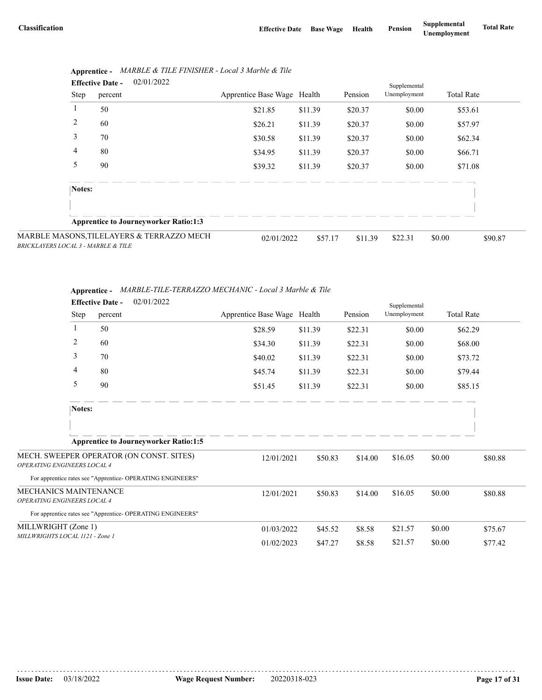|                                     | 02/01/2022<br><b>Effective Date -</b> |         |                                              | Supplemental                |         |         |              |                   |         |  |
|-------------------------------------|---------------------------------------|---------|----------------------------------------------|-----------------------------|---------|---------|--------------|-------------------|---------|--|
|                                     | Step                                  | percent |                                              | Apprentice Base Wage Health |         | Pension | Unemployment | <b>Total Rate</b> |         |  |
|                                     |                                       | 50      |                                              | \$21.85                     | \$11.39 | \$20.37 | \$0.00       | \$53.61           |         |  |
|                                     | 2                                     | 60      |                                              | \$26.21                     | \$11.39 | \$20.37 | \$0.00       | \$57.97           |         |  |
|                                     | 3                                     | 70      |                                              | \$30.58                     | \$11.39 | \$20.37 | \$0.00       | \$62.34           |         |  |
|                                     | 4                                     | 80      |                                              | \$34.95                     | \$11.39 | \$20.37 | \$0.00       | \$66.71           |         |  |
|                                     | 5                                     | 90      |                                              | \$39.32                     | \$11.39 | \$20.37 | \$0.00       | \$71.08           |         |  |
|                                     | Notes:                                |         |                                              |                             |         |         |              |                   |         |  |
|                                     |                                       |         |                                              |                             |         |         |              |                   |         |  |
|                                     |                                       |         | <b>Apprentice to Journeyworker Ratio:1:3</b> |                             |         |         |              |                   |         |  |
| BRICKLAYERS LOCAL 3 - MARBLE & TILE |                                       |         | MARBLE MASONS, TILELAYERS & TERRAZZO MECH    | 02/01/2022                  | \$57.17 | \$11.39 | \$22.31      | \$0.00            | \$90.87 |  |

|  | Apprentice - MARBLE & TILE FINISHER - Local 3 Marble & Tile |
|--|-------------------------------------------------------------|
|--|-------------------------------------------------------------|

|                              | Apprentice - MARBLE-TILE-TERRAZZO MECHANIC - Local 3 Marble & Tile |
|------------------------------|--------------------------------------------------------------------|
| $\mathbf{r}$ as $\mathbf{r}$ | 0.2101/2022                                                        |

|                                    | <b>Effective Date -</b> | 02/01/2022                                                 |                             |         |         | Supplemental |        |                   |
|------------------------------------|-------------------------|------------------------------------------------------------|-----------------------------|---------|---------|--------------|--------|-------------------|
|                                    | Step<br>percent         |                                                            | Apprentice Base Wage Health |         | Pension | Unemployment |        | <b>Total Rate</b> |
| 1                                  | 50                      |                                                            | \$28.59                     | \$11.39 | \$22.31 | \$0.00       |        | \$62.29           |
| 2                                  | 60                      |                                                            | \$34.30                     | \$11.39 | \$22.31 | \$0.00       |        | \$68.00           |
| 3                                  | 70                      |                                                            | \$40.02                     | \$11.39 | \$22.31 | \$0.00       |        | \$73.72           |
| 4                                  | 80                      |                                                            | \$45.74                     | \$11.39 | \$22.31 | \$0.00       |        | \$79.44           |
| 5                                  | 90                      |                                                            | \$51.45                     | \$11.39 | \$22.31 | \$0.00       |        | \$85.15           |
|                                    | Notes:                  |                                                            |                             |         |         |              |        |                   |
|                                    |                         |                                                            |                             |         |         |              |        |                   |
|                                    |                         | <b>Apprentice to Journeyworker Ratio:1:5</b>               |                             |         |         |              |        |                   |
| <b>OPERATING ENGINEERS LOCAL 4</b> |                         | MECH. SWEEPER OPERATOR (ON CONST. SITES)                   | 12/01/2021                  | \$50.83 | \$14.00 | \$16.05      | \$0.00 | \$80.88           |
|                                    |                         | For apprentice rates see "Apprentice-OPERATING ENGINEERS"  |                             |         |         |              |        |                   |
| MECHANICS MAINTENANCE              |                         |                                                            | 12/01/2021                  | \$50.83 | \$14.00 | \$16.05      | \$0.00 | \$80.88           |
| OPERATING ENGINEERS LOCAL 4        |                         |                                                            |                             |         |         |              |        |                   |
|                                    |                         | For apprentice rates see "Apprentice- OPERATING ENGINEERS" |                             |         |         |              |        |                   |
| MILLWRIGHT (Zone 1)                |                         |                                                            | 01/03/2022                  | \$45.52 | \$8.58  | \$21.57      | \$0.00 | \$75.67           |
| MILLWRIGHTS LOCAL 1121 - Zone 1    |                         |                                                            | 01/02/2023                  | \$47.27 | \$8.58  | \$21.57      | \$0.00 | \$77.42           |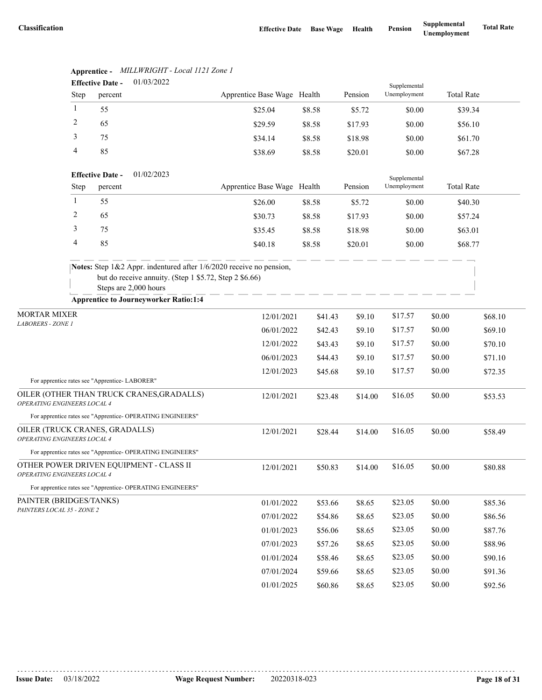|                                                               |              | <b>Effective Date -</b> | 01/03/2022                                                                                                                                             |                             |         |         | Supplemental |                   |         |
|---------------------------------------------------------------|--------------|-------------------------|--------------------------------------------------------------------------------------------------------------------------------------------------------|-----------------------------|---------|---------|--------------|-------------------|---------|
|                                                               | Step         | percent                 |                                                                                                                                                        | Apprentice Base Wage Health |         | Pension | Unemployment | <b>Total Rate</b> |         |
|                                                               | 1            | 55                      |                                                                                                                                                        | \$25.04                     | \$8.58  | \$5.72  | \$0.00       | \$39.34           |         |
|                                                               | 2            | 65                      |                                                                                                                                                        | \$29.59                     | \$8.58  | \$17.93 | \$0.00       | \$56.10           |         |
|                                                               | 3            | 75                      |                                                                                                                                                        | \$34.14                     | \$8.58  | \$18.98 | \$0.00       | \$61.70           |         |
|                                                               | 4            | 85                      |                                                                                                                                                        | \$38.69                     | \$8.58  | \$20.01 | \$0.00       | \$67.28           |         |
|                                                               |              | <b>Effective Date -</b> | 01/02/2023                                                                                                                                             |                             |         |         | Supplemental |                   |         |
|                                                               | Step         | percent                 |                                                                                                                                                        | Apprentice Base Wage Health |         | Pension | Unemployment | <b>Total Rate</b> |         |
|                                                               | $\mathbf{1}$ | 55                      |                                                                                                                                                        | \$26.00                     | \$8.58  | \$5.72  | \$0.00       | \$40.30           |         |
|                                                               | 2            | 65                      |                                                                                                                                                        | \$30.73                     | \$8.58  | \$17.93 | \$0.00       | \$57.24           |         |
|                                                               | 3            | 75                      |                                                                                                                                                        | \$35.45                     | \$8.58  | \$18.98 | \$0.00       | \$63.01           |         |
|                                                               | 4            | 85                      |                                                                                                                                                        | \$40.18                     | \$8.58  | \$20.01 | \$0.00       | \$68.77           |         |
|                                                               |              |                         | Notes: Step 1&2 Appr. indentured after 1/6/2020 receive no pension,<br>but do receive annuity. (Step 1 \$5.72, Step 2 \$6.66)<br>Steps are 2,000 hours |                             |         |         |              |                   |         |
|                                                               |              |                         | <b>Apprentice to Journeyworker Ratio:1:4</b>                                                                                                           |                             |         |         |              |                   |         |
| <b>MORTAR MIXER</b>                                           |              |                         |                                                                                                                                                        | 12/01/2021                  | \$41.43 | \$9.10  | \$17.57      | \$0.00            | \$68.10 |
| <b>LABORERS - ZONE 1</b>                                      |              |                         |                                                                                                                                                        | 06/01/2022                  | \$42.43 | \$9.10  | \$17.57      | \$0.00            | \$69.10 |
|                                                               |              |                         |                                                                                                                                                        | 12/01/2022                  | \$43.43 | \$9.10  | \$17.57      | \$0.00            | \$70.10 |
|                                                               |              |                         |                                                                                                                                                        | 06/01/2023                  | \$44.43 | \$9.10  | \$17.57      | \$0.00            | \$71.10 |
|                                                               |              |                         |                                                                                                                                                        | 12/01/2023                  | \$45.68 | \$9.10  | \$17.57      | \$0.00            | \$72.35 |
| For apprentice rates see "Apprentice- LABORER"                |              |                         | OILER (OTHER THAN TRUCK CRANES, GRADALLS)                                                                                                              |                             |         |         |              |                   |         |
| OPERATING ENGINEERS LOCAL 4                                   |              |                         |                                                                                                                                                        | 12/01/2021                  | \$23.48 | \$14.00 | \$16.05      | \$0.00            | \$53.53 |
|                                                               |              |                         | For apprentice rates see "Apprentice- OPERATING ENGINEERS"                                                                                             |                             |         |         |              |                   |         |
| OILER (TRUCK CRANES, GRADALLS)<br>OPERATING ENGINEERS LOCAL 4 |              |                         |                                                                                                                                                        | 12/01/2021                  | \$28.44 | \$14.00 | \$16.05      | \$0.00            | \$58.49 |
|                                                               |              |                         | For apprentice rates see "Apprentice- OPERATING ENGINEERS"                                                                                             |                             |         |         |              |                   |         |
| <i><b>OPERATING ENGINEERS LOCAL 4</b></i>                     |              |                         | OTHER POWER DRIVEN EQUIPMENT - CLASS II                                                                                                                | 12/01/2021                  | \$50.83 | \$14.00 | \$16.05      | \$0.00            | \$80.88 |
|                                                               |              |                         | For apprentice rates see "Apprentice- OPERATING ENGINEERS"                                                                                             |                             |         |         |              |                   |         |
| PAINTER (BRIDGES/TANKS)                                       |              |                         |                                                                                                                                                        | 01/01/2022                  | \$53.66 | \$8.65  | \$23.05      | \$0.00            | \$85.36 |
| PAINTERS LOCAL 35 - ZONE 2                                    |              |                         |                                                                                                                                                        | 07/01/2022                  | \$54.86 | \$8.65  | \$23.05      | \$0.00            | \$86.56 |
|                                                               |              |                         |                                                                                                                                                        | 01/01/2023                  | \$56.06 | \$8.65  | \$23.05      | \$0.00            | \$87.76 |
|                                                               |              |                         |                                                                                                                                                        | 07/01/2023                  | \$57.26 | \$8.65  | \$23.05      | \$0.00            | \$88.96 |
|                                                               |              |                         |                                                                                                                                                        | 01/01/2024                  | \$58.46 | \$8.65  | \$23.05      | \$0.00            | \$90.16 |
|                                                               |              |                         |                                                                                                                                                        | 07/01/2024                  | \$59.66 | \$8.65  | \$23.05      | \$0.00            | \$91.36 |
|                                                               |              |                         |                                                                                                                                                        | 01/01/2025                  | \$60.86 | \$8.65  | \$23.05      | \$0.00            | \$92.56 |

## **Apprentice -** *MILLWRIGHT - Local 1121 Zone 1*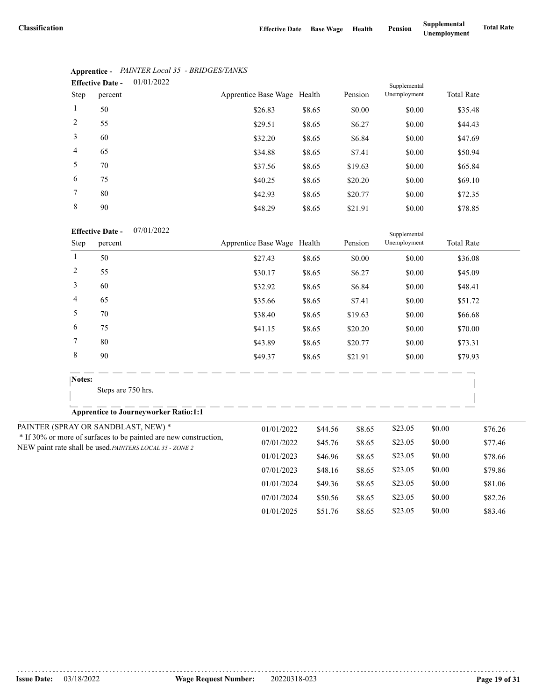| <b>Effective Date -</b> |         |                             |        |         |                              |                   |
|-------------------------|---------|-----------------------------|--------|---------|------------------------------|-------------------|
| Step                    | percent | Apprentice Base Wage Health |        | Pension | Supplemental<br>Unemployment | <b>Total Rate</b> |
|                         | 50      | \$26.83                     | \$8.65 | \$0.00  | \$0.00                       | \$35.48           |
| 2                       | 55      | \$29.51                     | \$8.65 | \$6.27  | \$0.00                       | \$44.43           |
| 3                       | 60      | \$32.20                     | \$8.65 | \$6.84  | \$0.00                       | \$47.69           |
| $\overline{4}$          | 65      | \$34.88                     | \$8.65 | \$7.41  | \$0.00                       | \$50.94           |
| 5                       | 70      | \$37.56                     | \$8.65 | \$19.63 | \$0.00                       | \$65.84           |
| 6                       | 75      | \$40.25                     | \$8.65 | \$20.20 | \$0.00                       | \$69.10           |
| 7                       | 80      | \$42.93                     | \$8.65 | \$20.77 | \$0.00                       | \$72.35           |
| 8                       | 90      | \$48.29                     | \$8.65 | \$21.91 | \$0.00                       | \$78.85           |

## **Apprentice -** *PAINTER Local 35 - BRIDGES/TANKS*

|                | <b>Effective Date -</b><br>07/01/2022                                                                                        |                             |         |         | Supplemental |        |                   |
|----------------|------------------------------------------------------------------------------------------------------------------------------|-----------------------------|---------|---------|--------------|--------|-------------------|
| Step           | percent                                                                                                                      | Apprentice Base Wage Health |         | Pension | Unemployment |        | <b>Total Rate</b> |
| $\mathbf{1}$   | 50                                                                                                                           | \$27.43                     | \$8.65  | \$0.00  | \$0.00       |        | \$36.08           |
| $\overline{c}$ | 55                                                                                                                           | \$30.17                     | \$8.65  | \$6.27  | \$0.00       |        | \$45.09           |
| 3              | 60                                                                                                                           | \$32.92                     | \$8.65  | \$6.84  | \$0.00       |        | \$48.41           |
| 4              | 65                                                                                                                           | \$35.66                     | \$8.65  | \$7.41  | \$0.00       |        | \$51.72           |
| 5              | 70                                                                                                                           | \$38.40                     | \$8.65  | \$19.63 | \$0.00       |        | \$66.68           |
| 6              | 75                                                                                                                           | \$41.15                     | \$8.65  | \$20.20 | \$0.00       |        | \$70.00           |
| 7              | 80                                                                                                                           | \$43.89                     | \$8.65  | \$20.77 | \$0.00       |        | \$73.31           |
| 8              | 90                                                                                                                           | \$49.37                     | \$8.65  | \$21.91 | \$0.00       |        | \$79.93           |
| Notes:         |                                                                                                                              |                             |         |         |              |        |                   |
|                | Steps are 750 hrs.                                                                                                           |                             |         |         |              |        |                   |
|                | <b>Apprentice to Journeyworker Ratio:1:1</b>                                                                                 |                             |         |         |              |        |                   |
|                | PAINTER (SPRAY OR SANDBLAST, NEW) *                                                                                          | 01/01/2022                  | \$44.56 | \$8.65  | \$23.05      | \$0.00 | \$76.26           |
|                | * If 30% or more of surfaces to be painted are new construction,<br>NEW paint rate shall be used. PAINTERS LOCAL 35 - ZONE 2 | 07/01/2022                  | \$45.76 | \$8.65  | \$23.05      | \$0.00 | \$77.46           |
|                |                                                                                                                              | 01/01/2023                  | \$46.96 | \$8.65  | \$23.05      | \$0.00 | \$78.66           |
|                |                                                                                                                              | 07/01/2023                  | \$48.16 | \$8.65  | \$23.05      | \$0.00 | \$79.86           |
|                |                                                                                                                              | 01/01/2024                  | \$49.36 | \$8.65  | \$23.05      | \$0.00 | \$81.06           |
|                |                                                                                                                              | 07/01/2024                  | \$50.56 | \$8.65  | \$23.05      | \$0.00 | \$82.26           |
|                |                                                                                                                              | 01/01/2025                  | \$51.76 | \$8.65  | \$23.05      | \$0.00 | \$83.46           |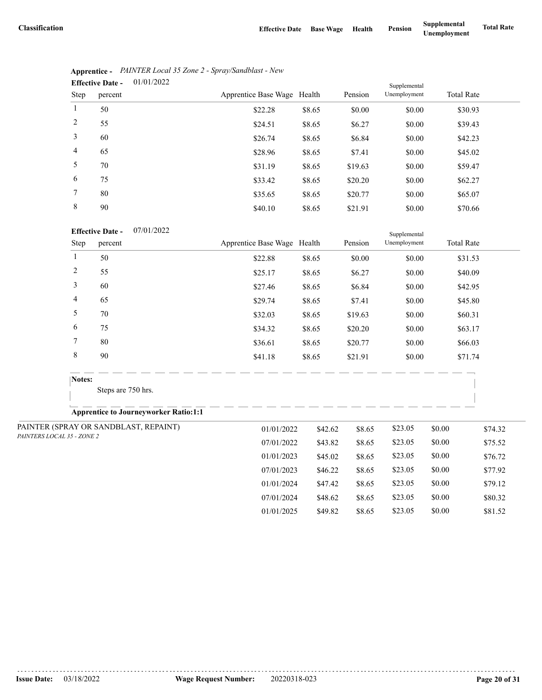07/01/2024 \$48.62 \$8.65 \$23.05 \$0.00 \$80.32 01/01/2025 \$49.82 \$8.65 \$23.05 \$0.00 \$81.52

|                | 01/01/2022<br><b>Effective Date -</b> | Supplemental                |        |         |              |                   |
|----------------|---------------------------------------|-----------------------------|--------|---------|--------------|-------------------|
| Step           | percent                               | Apprentice Base Wage Health |        | Pension | Unemployment | <b>Total Rate</b> |
| 1              | 50                                    | \$22.28                     | \$8.65 | \$0.00  | \$0.00       | \$30.93           |
| 2              | 55                                    | \$24.51                     | \$8.65 | \$6.27  | \$0.00       | \$39.43           |
| 3              | 60                                    | \$26.74                     | \$8.65 | \$6.84  | \$0.00       | \$42.23           |
| $\overline{4}$ | 65                                    | \$28.96                     | \$8.65 | \$7.41  | \$0.00       | \$45.02           |
| 5              | 70                                    | \$31.19                     | \$8.65 | \$19.63 | \$0.00       | \$59.47           |
| 6              | 75                                    | \$33.42                     | \$8.65 | \$20.20 | \$0.00       | \$62.27           |
| 7              | 80                                    | \$35.65                     | \$8.65 | \$20.77 | \$0.00       | \$65.07           |
| 8              | 90                                    | \$40.10                     | \$8.65 | \$21.91 | \$0.00       | \$70.66           |

|                | Apprentice - PAINTER Local 35 Zone 2 - Spray/Sandblast - New |
|----------------|--------------------------------------------------------------|
| Effective Date | 01/01/2022                                                   |

### 07/01/2022 **Effective Date -**

| <b>Effective Date -</b><br>07/01/2022 |                |                                              |                             |         | Supplemental |              |        |                   |
|---------------------------------------|----------------|----------------------------------------------|-----------------------------|---------|--------------|--------------|--------|-------------------|
|                                       | Step           | percent                                      | Apprentice Base Wage Health |         | Pension      | Unemployment |        | <b>Total Rate</b> |
|                                       | $\mathbf{1}$   | 50                                           | \$22.88                     | \$8.65  | \$0.00       | \$0.00       |        | \$31.53           |
|                                       | $\overline{c}$ | 55                                           | \$25.17                     | \$8.65  | \$6.27       | \$0.00       |        | \$40.09           |
|                                       | 3              | 60                                           | \$27.46                     | \$8.65  | \$6.84       | \$0.00       |        | \$42.95           |
|                                       | 4              | 65                                           | \$29.74                     | \$8.65  | \$7.41       | \$0.00       |        | \$45.80           |
|                                       | 5              | 70                                           | \$32.03                     | \$8.65  | \$19.63      | \$0.00       |        | \$60.31           |
|                                       | 6              | 75                                           | \$34.32                     | \$8.65  | \$20.20      | \$0.00       |        | \$63.17           |
|                                       | 7              | 80                                           | \$36.61                     | \$8.65  | \$20.77      | \$0.00       |        | \$66.03           |
|                                       | 8              | 90                                           | \$41.18                     | \$8.65  | \$21.91      | \$0.00       |        | \$71.74           |
|                                       | Notes:         |                                              |                             |         |              |              |        |                   |
|                                       |                | Steps are 750 hrs.                           |                             |         |              |              |        |                   |
|                                       |                | <b>Apprentice to Journeyworker Ratio:1:1</b> |                             |         |              |              |        |                   |
|                                       |                | PAINTER (SPRAY OR SANDBLAST, REPAINT)        | 01/01/2022                  | \$42.62 | \$8.65       | \$23.05      | \$0.00 | \$74.32           |
| PAINTERS LOCAL 35 - ZONE 2            |                |                                              | 07/01/2022                  | \$43.82 | \$8.65       | \$23.05      | \$0.00 | \$75.52           |
|                                       |                |                                              | 01/01/2023                  | \$45.02 | \$8.65       | \$23.05      | \$0.00 | \$76.72           |
|                                       |                |                                              | 07/01/2023                  | \$46.22 | \$8.65       | \$23.05      | \$0.00 | \$77.92           |
|                                       |                |                                              | 01/01/2024                  | \$47.42 | \$8.65       | \$23.05      | \$0.00 | \$79.12           |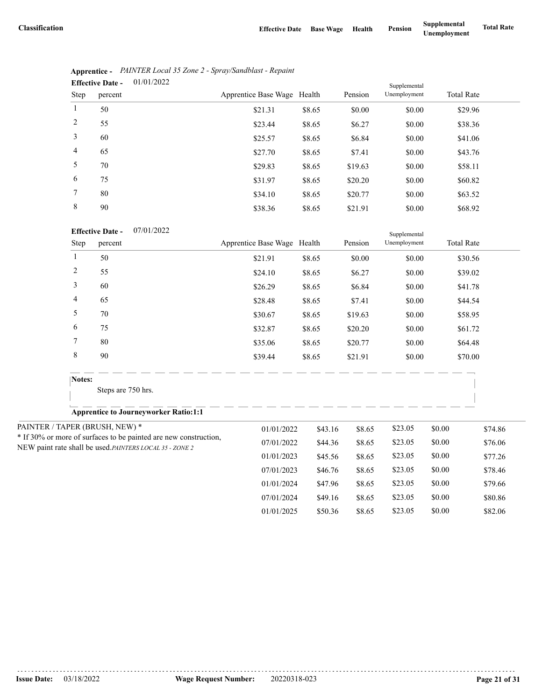|                | 01/01/2022<br><b>Effective Date -</b> | Supplemental                |        |         |              |                   |
|----------------|---------------------------------------|-----------------------------|--------|---------|--------------|-------------------|
| Step           | percent                               | Apprentice Base Wage Health |        | Pension | Unemployment | <b>Total Rate</b> |
| 1              | 50                                    | \$21.31                     | \$8.65 | \$0.00  | \$0.00       | \$29.96           |
| 2              | 55                                    | \$23.44                     | \$8.65 | \$6.27  | \$0.00       | \$38.36           |
| 3              | 60                                    | \$25.57                     | \$8.65 | \$6.84  | \$0.00       | \$41.06           |
| $\overline{4}$ | 65                                    | \$27.70                     | \$8.65 | \$7.41  | \$0.00       | \$43.76           |
| 5              | 70                                    | \$29.83                     | \$8.65 | \$19.63 | \$0.00       | \$58.11           |
| 6              | 75                                    | \$31.97                     | \$8.65 | \$20.20 | \$0.00       | \$60.82           |
| 7              | 80                                    | \$34.10                     | \$8.65 | \$20.77 | \$0.00       | \$63.52           |
| 8              | 90                                    | \$38.36                     | \$8.65 | \$21.91 | \$0.00       | \$68.92           |

|                               | Apprentice - PAINTER Local 35 Zone 2 - Spray/Sandblast - Repaint |
|-------------------------------|------------------------------------------------------------------|
| Effective Date $-$ 01/01/2022 |                                                                  |

| <b>Effective Date -</b> | 07/01/2022 |
|-------------------------|------------|
|                         |            |

|                | <b>Effective Date -</b><br>07/01/2022                                                                                       |                             |         |         | Supplemental |        |                   |
|----------------|-----------------------------------------------------------------------------------------------------------------------------|-----------------------------|---------|---------|--------------|--------|-------------------|
| Step           | percent                                                                                                                     | Apprentice Base Wage Health |         | Pension | Unemployment |        | <b>Total Rate</b> |
| -1             | 50                                                                                                                          | \$21.91                     | \$8.65  | \$0.00  | \$0.00       |        | \$30.56           |
| $\overline{c}$ | 55                                                                                                                          | \$24.10                     | \$8.65  | \$6.27  | \$0.00       |        | \$39.02           |
| 3              | 60                                                                                                                          | \$26.29                     | \$8.65  | \$6.84  | \$0.00       |        | \$41.78           |
| $\overline{4}$ | 65                                                                                                                          | \$28.48                     | \$8.65  | \$7.41  | \$0.00       |        | \$44.54           |
| 5              | 70                                                                                                                          | \$30.67                     | \$8.65  | \$19.63 | \$0.00       |        | \$58.95           |
| 6              | 75                                                                                                                          | \$32.87                     | \$8.65  | \$20.20 | \$0.00       |        | \$61.72           |
| 7              | 80                                                                                                                          | \$35.06                     | \$8.65  | \$20.77 | \$0.00       |        | \$64.48           |
| 8              | 90                                                                                                                          | \$39.44                     | \$8.65  | \$21.91 | \$0.00       |        | \$70.00           |
| Notes:         |                                                                                                                             |                             |         |         |              |        |                   |
|                | Steps are 750 hrs.                                                                                                          |                             |         |         |              |        |                   |
|                | <b>Apprentice to Journeyworker Ratio:1:1</b>                                                                                |                             |         |         |              |        |                   |
|                | PAINTER / TAPER (BRUSH, NEW) *                                                                                              | 01/01/2022                  | \$43.16 | \$8.65  | \$23.05      | \$0.00 | \$74.86           |
|                | * If 30% or more of surfaces to be painted are new construction,<br>NEW paint rate shall be used.PAINTERS LOCAL 35 - ZONE 2 | 07/01/2022                  | \$44.36 | \$8.65  | \$23.05      | \$0.00 | \$76.06           |
|                |                                                                                                                             | 01/01/2023                  | \$45.56 | \$8.65  | \$23.05      | \$0.00 | \$77.26           |
|                |                                                                                                                             | 07/01/2023                  | \$46.76 | \$8.65  | \$23.05      | \$0.00 | \$78.46           |
|                |                                                                                                                             | 01/01/2024                  | \$47.96 | \$8.65  | \$23.05      | \$0.00 | \$79.66           |
|                |                                                                                                                             | 07/01/2024                  | \$49.16 | \$8.65  | \$23.05      | \$0.00 | \$80.86           |
|                |                                                                                                                             | 01/01/2025                  | \$50.36 | \$8.65  | \$23.05      | \$0.00 | \$82.06           |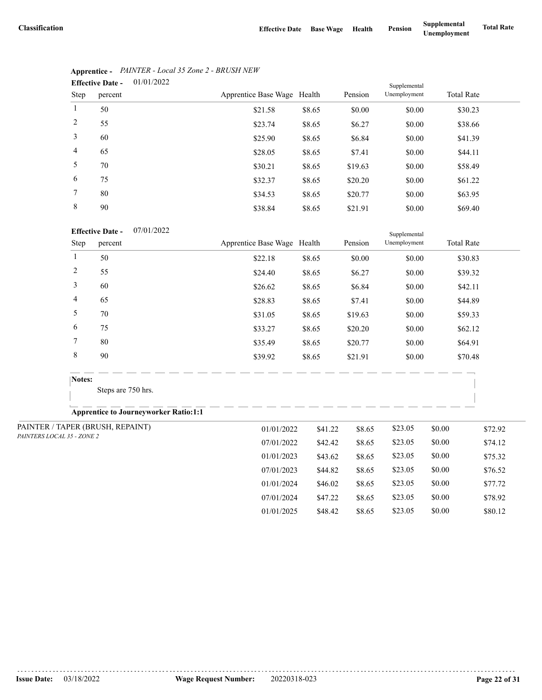07/01/2024 \$47.22 \$8.65 \$23.05 \$0.00 \$78.92 01/01/2025 \$48.42 \$8.65 \$23.05 \$0.00 \$80.12

|                | 01/01/2022<br><b>Effective Date -</b> |                             |        |         |              |                   |  |
|----------------|---------------------------------------|-----------------------------|--------|---------|--------------|-------------------|--|
| Step           | percent                               | Apprentice Base Wage Health |        | Pension | Unemployment | <b>Total Rate</b> |  |
| $\mathbf{1}$   | 50                                    | \$21.58                     | \$8.65 | \$0.00  | \$0.00       | \$30.23           |  |
| 2              | 55                                    | \$23.74                     | \$8.65 | \$6.27  | \$0.00       | \$38.66           |  |
| 3              | 60                                    | \$25.90                     | \$8.65 | \$6.84  | \$0.00       | \$41.39           |  |
| $\overline{4}$ | 65                                    | \$28.05                     | \$8.65 | \$7.41  | \$0.00       | \$44.11           |  |
| 5              | 70                                    | \$30.21                     | \$8.65 | \$19.63 | \$0.00       | \$58.49           |  |
| 6              | 75                                    | \$32.37                     | \$8.65 | \$20.20 | \$0.00       | \$61.22           |  |
| 7              | 80                                    | \$34.53                     | \$8.65 | \$20.77 | \$0.00       | \$63.95           |  |
| 8              | 90                                    | \$38.84                     | \$8.65 | \$21.91 | \$0.00       | \$69.40           |  |

# **Apprentice -** *PAINTER - Local 35 Zone 2 - BRUSH NEW*

### 07/01/2022 **Effective Date -**

|                                  | <b>Effective Date -</b><br>07/01/2022        |                             |         |         | Supplemental |        |                   |
|----------------------------------|----------------------------------------------|-----------------------------|---------|---------|--------------|--------|-------------------|
| Step                             | percent                                      | Apprentice Base Wage Health |         | Pension | Unemployment |        | <b>Total Rate</b> |
| 1                                | 50                                           | \$22.18                     | \$8.65  | \$0.00  | \$0.00       |        | \$30.83           |
| $\overline{c}$                   | 55                                           | \$24.40                     | \$8.65  | \$6.27  | \$0.00       |        | \$39.32           |
| 3                                | 60                                           | \$26.62                     | \$8.65  | \$6.84  | \$0.00       |        | \$42.11           |
| 4                                | 65                                           | \$28.83                     | \$8.65  | \$7.41  | \$0.00       |        | \$44.89           |
| 5                                | 70                                           | \$31.05                     | \$8.65  | \$19.63 | \$0.00       |        | \$59.33           |
| 6                                | 75                                           | \$33.27                     | \$8.65  | \$20.20 | \$0.00       |        | \$62.12           |
| 7                                | 80                                           | \$35.49                     | \$8.65  | \$20.77 | \$0.00       |        | \$64.91           |
| $\,$ 8 $\,$                      | 90                                           | \$39.92                     | \$8.65  | \$21.91 | \$0.00       |        | \$70.48           |
| Notes:                           |                                              |                             |         |         |              |        |                   |
|                                  | Steps are 750 hrs.                           |                             |         |         |              |        |                   |
|                                  | <b>Apprentice to Journeyworker Ratio:1:1</b> |                             |         |         |              |        |                   |
| PAINTER / TAPER (BRUSH, REPAINT) |                                              | 01/01/2022                  | \$41.22 | \$8.65  | \$23.05      | \$0.00 | \$72.92           |
| PAINTERS LOCAL 35 - ZONE 2       |                                              | 07/01/2022                  | \$42.42 | \$8.65  | \$23.05      | \$0.00 | \$74.12           |
|                                  |                                              | 01/01/2023                  | \$43.62 | \$8.65  | \$23.05      | \$0.00 | \$75.32           |
|                                  |                                              | 07/01/2023                  | \$44.82 | \$8.65  | \$23.05      | \$0.00 | \$76.52           |
|                                  |                                              | 01/01/2024                  | \$46.02 | \$8.65  | \$23.05      | \$0.00 | \$77.72           |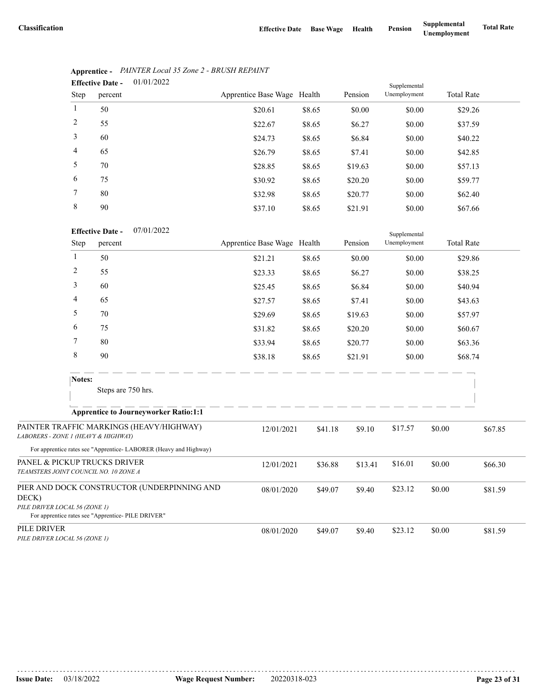Supplemental

|                | 01/01/2022<br><b>Effective Date -</b> |                             |        | Supplemental |              |                   |  |
|----------------|---------------------------------------|-----------------------------|--------|--------------|--------------|-------------------|--|
| Step           | percent                               | Apprentice Base Wage Health |        | Pension      | Unemployment | <b>Total Rate</b> |  |
| $\mathbf{1}$   | 50                                    | \$20.61                     | \$8.65 | \$0.00       | \$0.00       | \$29.26           |  |
| 2              | 55                                    | \$22.67                     | \$8.65 | \$6.27       | \$0.00       | \$37.59           |  |
| 3              | 60                                    | \$24.73                     | \$8.65 | \$6.84       | \$0.00       | \$40.22           |  |
| $\overline{4}$ | 65                                    | \$26.79                     | \$8.65 | \$7.41       | \$0.00       | \$42.85           |  |
| 5              | 70                                    | \$28.85                     | \$8.65 | \$19.63      | \$0.00       | \$57.13           |  |
| 6              | 75                                    | \$30.92                     | \$8.65 | \$20.20      | \$0.00       | \$59.77           |  |
| 7              | 80                                    | \$32.98                     | \$8.65 | \$20.77      | \$0.00       | \$62.40           |  |
| 8              | 90                                    | \$37.10                     | \$8.65 | \$21.91      | \$0.00       | \$67.66           |  |

# **Apprentice -** *PAINTER Local 35 Zone 2 - BRUSH REPAINT*

| <b>Effective Date -</b> | 07/01/2022 |
|-------------------------|------------|
|                         |            |

|                                              | Step   | percent                                                                                           | Apprentice Base Wage Health |         | Pension | Unemployment |        | <b>Total Rate</b> |
|----------------------------------------------|--------|---------------------------------------------------------------------------------------------------|-----------------------------|---------|---------|--------------|--------|-------------------|
|                                              | 1      | 50                                                                                                | \$21.21                     | \$8.65  | \$0.00  | \$0.00       |        | \$29.86           |
|                                              | 2      | 55                                                                                                | \$23.33                     | \$8.65  | \$6.27  | \$0.00       |        | \$38.25           |
|                                              | 3      | 60                                                                                                | \$25.45                     | \$8.65  | \$6.84  | \$0.00       |        | \$40.94           |
|                                              | 4      | 65                                                                                                | \$27.57                     | \$8.65  | \$7.41  | \$0.00       |        | \$43.63           |
|                                              | 5      | 70                                                                                                | \$29.69                     | \$8.65  | \$19.63 | \$0.00       |        | \$57.97           |
|                                              | 6      | 75                                                                                                | \$31.82                     | \$8.65  | \$20.20 | \$0.00       |        | \$60.67           |
|                                              | 7      | 80                                                                                                | \$33.94                     | \$8.65  | \$20.77 | \$0.00       |        | \$63.36           |
|                                              | 8      | 90                                                                                                | \$38.18                     | \$8.65  | \$21.91 | \$0.00       |        | \$68.74           |
|                                              | Notes: | Steps are 750 hrs.                                                                                |                             |         |         |              |        |                   |
|                                              |        | <b>Apprentice to Journeyworker Ratio:1:1</b>                                                      |                             |         |         |              |        |                   |
| LABORERS - ZONE 1 (HEAVY & HIGHWAY)          |        | PAINTER TRAFFIC MARKINGS (HEAVY/HIGHWAY)                                                          | 12/01/2021                  | \$41.18 | \$9.10  | \$17.57      | \$0.00 | \$67.85           |
|                                              |        | For apprentice rates see "Apprentice-LABORER (Heavy and Highway)                                  |                             |         |         |              |        |                   |
| TEAMSTERS JOINT COUNCIL NO. 10 ZONE A        |        | PANEL & PICKUP TRUCKS DRIVER                                                                      | 12/01/2021                  | \$36.88 | \$13.41 | \$16.01      | \$0.00 | \$66.30           |
| DECK)<br>PILE DRIVER LOCAL 56 (ZONE 1)       |        | PIER AND DOCK CONSTRUCTOR (UNDERPINNING AND<br>For apprentice rates see "Apprentice- PILE DRIVER" | 08/01/2020                  | \$49.07 | \$9.40  | \$23.12      | \$0.00 | \$81.59           |
| PILE DRIVER<br>PILE DRIVER LOCAL 56 (ZONE 1) |        |                                                                                                   | 08/01/2020                  | \$49.07 | \$9.40  | \$23.12      | \$0.00 | \$81.59           |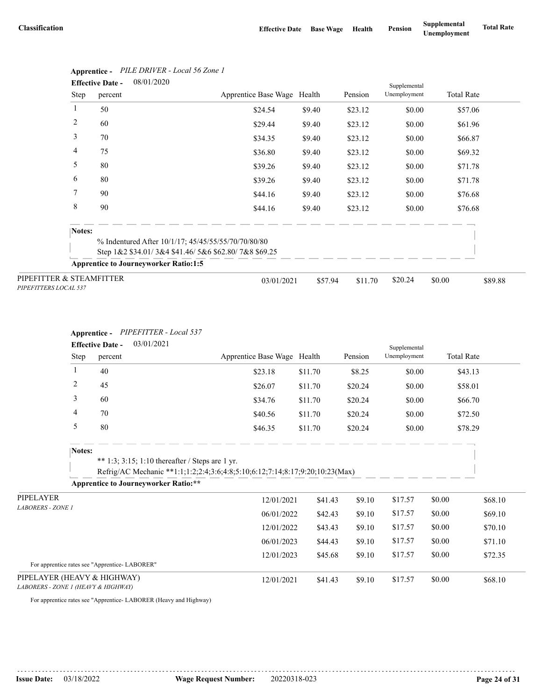|                                                   | <b>Effective Date -</b> | 08/01/2020                                             |                             |         |         | Supplemental |                   |         |
|---------------------------------------------------|-------------------------|--------------------------------------------------------|-----------------------------|---------|---------|--------------|-------------------|---------|
|                                                   | Step                    | percent                                                | Apprentice Base Wage Health |         | Pension | Unemployment | <b>Total Rate</b> |         |
| 1                                                 |                         | 50                                                     | \$24.54                     | \$9.40  | \$23.12 | \$0.00       | \$57.06           |         |
| 2                                                 |                         | 60                                                     | \$29.44                     | \$9.40  | \$23.12 | \$0.00       | \$61.96           |         |
| 3                                                 |                         | 70                                                     | \$34.35                     | \$9.40  | \$23.12 | \$0.00       | \$66.87           |         |
| 4                                                 |                         | 75                                                     | \$36.80                     | \$9.40  | \$23.12 | \$0.00       | \$69.32           |         |
| 5                                                 |                         | 80                                                     | \$39.26                     | \$9.40  | \$23.12 | \$0.00       | \$71.78           |         |
| 6                                                 |                         | 80                                                     | \$39.26                     | \$9.40  | \$23.12 | \$0.00       | \$71.78           |         |
| 7                                                 |                         | 90                                                     | \$44.16                     | \$9.40  | \$23.12 | \$0.00       | \$76.68           |         |
| 8                                                 |                         | 90                                                     | \$44.16                     | \$9.40  | \$23.12 | \$0.00       | \$76.68           |         |
|                                                   | Notes:                  |                                                        |                             |         |         |              |                   |         |
|                                                   |                         | % Indentured After 10/1/17; 45/45/55/55/70/70/80/80    |                             |         |         |              |                   |         |
|                                                   |                         | Step $1&2$ \$34.01/3&4 \$41.46/5&6 \$62.80/7&8 \$69.25 |                             |         |         |              |                   |         |
|                                                   |                         | <b>Apprentice to Journeyworker Ratio:1:5</b>           |                             |         |         |              |                   |         |
| PIPEFITTER & STEAMFITTER<br>PIPEFITTERS LOCAL 537 |                         |                                                        | 03/01/2021                  | \$57.94 | \$11.70 | \$20.24      | \$0.00            | \$89.88 |

# **Apprentice -** *PILE DRIVER - Local 56 Zone 1*

### **Apprentice -** *PIPEFITTER - Local 537*

|                                                                    | 03/01/2021<br><b>Effective Date -</b> |                                               |                                                                                                                                 |                             |         | Supplemental |              |                   |         |
|--------------------------------------------------------------------|---------------------------------------|-----------------------------------------------|---------------------------------------------------------------------------------------------------------------------------------|-----------------------------|---------|--------------|--------------|-------------------|---------|
|                                                                    | Step                                  | percent                                       |                                                                                                                                 | Apprentice Base Wage Health |         | Pension      | Unemployment | <b>Total Rate</b> |         |
|                                                                    | 1                                     | 40                                            |                                                                                                                                 | \$23.18                     | \$11.70 | \$8.25       | \$0.00       | \$43.13           |         |
|                                                                    | $\overline{c}$                        | 45                                            |                                                                                                                                 | \$26.07                     | \$11.70 | \$20.24      | \$0.00       | \$58.01           |         |
|                                                                    | 3                                     | 60                                            |                                                                                                                                 | \$34.76                     | \$11.70 | \$20.24      | \$0.00       | \$66.70           |         |
|                                                                    | 4                                     | 70                                            |                                                                                                                                 | \$40.56                     | \$11.70 | \$20.24      | \$0.00       | \$72.50           |         |
|                                                                    | 5                                     | 80                                            |                                                                                                                                 | \$46.35                     | \$11.70 | \$20.24      | \$0.00       | \$78.29           |         |
|                                                                    | Notes:                                |                                               | ** 1:3; 3:15; 1:10 thereafter / Steps are 1 yr.<br>Refrig/AC Mechanic **1:1;1:2;2:4;3:6;4:8;5:10;6:12;7:14;8:17;9:20;10:23(Max) |                             |         |              |              |                   |         |
|                                                                    |                                       |                                               | <b>Apprentice to Journeyworker Ratio:**</b>                                                                                     |                             |         |              |              |                   |         |
| PIPELAYER                                                          |                                       |                                               |                                                                                                                                 | 12/01/2021                  | \$41.43 | \$9.10       | \$17.57      | \$0.00            | \$68.10 |
| <b>LABORERS - ZONE 1</b>                                           |                                       |                                               |                                                                                                                                 | 06/01/2022                  | \$42.43 | \$9.10       | \$17.57      | \$0.00            | \$69.10 |
|                                                                    |                                       |                                               |                                                                                                                                 | 12/01/2022                  | \$43.43 | \$9.10       | \$17.57      | \$0.00            | \$70.10 |
|                                                                    |                                       |                                               |                                                                                                                                 | 06/01/2023                  | \$44.43 | \$9.10       | \$17.57      | \$0.00            | \$71.10 |
|                                                                    |                                       |                                               |                                                                                                                                 | 12/01/2023                  | \$45.68 | \$9.10       | \$17.57      | \$0.00            | \$72.35 |
|                                                                    |                                       | For apprentice rates see "Apprentice-LABORER" |                                                                                                                                 |                             |         |              |              |                   |         |
| PIPELAYER (HEAVY & HIGHWAY)<br>LABORERS - ZONE 1 (HEAVY & HIGHWAY) |                                       |                                               |                                                                                                                                 | 12/01/2021                  | \$41.43 | \$9.10       | \$17.57      | \$0.00            | \$68.10 |

For apprentice rates see "Apprentice- LABORER (Heavy and Highway)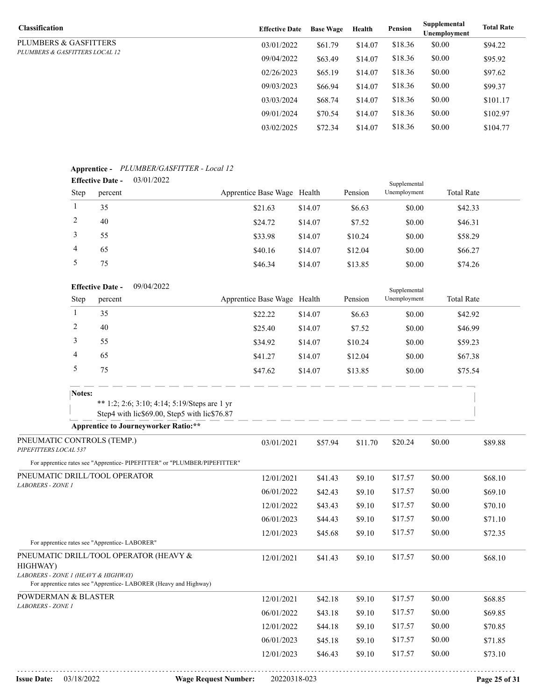| <b>Classification</b>          | <b>Effective Date</b> | <b>Base Wage</b> | Health  | Pension | Supplemental<br>Unemployment | <b>Total Rate</b> |
|--------------------------------|-----------------------|------------------|---------|---------|------------------------------|-------------------|
| PLUMBERS & GASFITTERS          | 03/01/2022            | \$61.79          | \$14.07 | \$18.36 | \$0.00                       | \$94.22           |
| PLUMBERS & GASFITTERS LOCAL 12 | 09/04/2022            | \$63.49          | \$14.07 | \$18.36 | \$0.00                       | \$95.92           |
|                                | 02/26/2023            | \$65.19          | \$14.07 | \$18.36 | \$0.00                       | \$97.62           |
|                                | 09/03/2023            | \$66.94          | \$14.07 | \$18.36 | \$0.00                       | \$99.37           |
|                                | 03/03/2024            | \$68.74          | \$14.07 | \$18.36 | \$0.00                       | \$101.17          |
|                                | 09/01/2024            | \$70.54          | \$14.07 | \$18.36 | \$0.00                       | \$102.97          |
|                                | 03/02/2025            | \$72.34          | \$14.07 | \$18.36 | \$0.00                       | \$104.77          |

## **Apprentice -** *PLUMBER/GASFITTER - Local 12*

| . .<br><b>Effective Date -</b> |         | 03/01/2022 |                             | Supplemental |         |              |                   |  |
|--------------------------------|---------|------------|-----------------------------|--------------|---------|--------------|-------------------|--|
| <b>Step</b>                    | percent |            | Apprentice Base Wage Health |              | Pension | Unemployment | <b>Total Rate</b> |  |
|                                | 35      |            | \$21.63                     | \$14.07      | \$6.63  | \$0.00       | \$42.33           |  |
|                                | 40      |            | \$24.72                     | \$14.07      | \$7.52  | \$0.00       | \$46.31           |  |
|                                | 55      |            | \$33.98                     | \$14.07      | \$10.24 | \$0.00       | \$58.29           |  |
| 4                              | 65      |            | \$40.16                     | \$14.07      | \$12.04 | \$0.00       | \$66.27           |  |
|                                | 75      |            | \$46.34                     | \$14.07      | \$13.85 | \$0.00       | \$74.26           |  |

|                                                     |        | <b>Effective Date -</b>                       | 09/04/2022                                                                                   |                             |         |         | Supplemental |        |                   |
|-----------------------------------------------------|--------|-----------------------------------------------|----------------------------------------------------------------------------------------------|-----------------------------|---------|---------|--------------|--------|-------------------|
|                                                     | Step   | percent                                       |                                                                                              | Apprentice Base Wage Health |         | Pension | Unemployment |        | <b>Total Rate</b> |
|                                                     | 1      | 35                                            |                                                                                              | \$22.22                     | \$14.07 | \$6.63  | \$0.00       |        | \$42.92           |
|                                                     | 2      | 40                                            |                                                                                              | \$25.40                     | \$14.07 | \$7.52  | \$0.00       |        | \$46.99           |
|                                                     | 3      | 55                                            |                                                                                              | \$34.92                     | \$14.07 | \$10.24 | \$0.00       |        | \$59.23           |
|                                                     | 4      | 65                                            |                                                                                              | \$41.27                     | \$14.07 | \$12.04 | \$0.00       |        | \$67.38           |
|                                                     | 5      | 75                                            |                                                                                              | \$47.62                     | \$14.07 | \$13.85 | \$0.00       |        | \$75.54           |
|                                                     | Notes: |                                               |                                                                                              |                             |         |         |              |        |                   |
|                                                     |        |                                               | ** 1:2; 2:6; 3:10; 4:14; 5:19/Steps are 1 yr<br>Step4 with lic\$69.00, Step5 with lic\$76.87 |                             |         |         |              |        |                   |
|                                                     |        |                                               | <b>Apprentice to Journeyworker Ratio:**</b>                                                  |                             |         |         |              |        |                   |
| PNEUMATIC CONTROLS (TEMP.)<br>PIPEFITTERS LOCAL 537 |        |                                               |                                                                                              | 03/01/2021                  | \$57.94 | \$11.70 | \$20.24      | \$0.00 | \$89.88           |
|                                                     |        |                                               | For apprentice rates see "Apprentice- PIPEFITTER" or "PLUMBER/PIPEFITTER"                    |                             |         |         |              |        |                   |
| PNEUMATIC DRILL/TOOL OPERATOR                       |        |                                               |                                                                                              | 12/01/2021                  | \$41.43 | \$9.10  | \$17.57      | \$0.00 | \$68.10           |
| <b>LABORERS - ZONE 1</b>                            |        |                                               |                                                                                              | 06/01/2022                  | \$42.43 | \$9.10  | \$17.57      | \$0.00 | \$69.10           |
|                                                     |        |                                               |                                                                                              | 12/01/2022                  | \$43.43 | \$9.10  | \$17.57      | \$0.00 | \$70.10           |
|                                                     |        |                                               |                                                                                              | 06/01/2023                  | \$44.43 | \$9.10  | \$17.57      | \$0.00 | \$71.10           |
|                                                     |        |                                               |                                                                                              | 12/01/2023                  | \$45.68 | \$9.10  | \$17.57      | \$0.00 | \$72.35           |
|                                                     |        | For apprentice rates see "Apprentice-LABORER" |                                                                                              |                             |         |         |              |        |                   |
| PNEUMATIC DRILL/TOOL OPERATOR (HEAVY &<br>HIGHWAY)  |        |                                               |                                                                                              | 12/01/2021                  | \$41.43 | \$9.10  | \$17.57      | \$0.00 | \$68.10           |
| LABORERS - ZONE 1 (HEAVY & HIGHWAY)                 |        |                                               | For apprentice rates see "Apprentice- LABORER (Heavy and Highway)                            |                             |         |         |              |        |                   |
| POWDERMAN & BLASTER                                 |        |                                               |                                                                                              | 12/01/2021                  | \$42.18 | \$9.10  | \$17.57      | \$0.00 | \$68.85           |
| LABORERS - ZONE 1                                   |        |                                               |                                                                                              | 06/01/2022                  | \$43.18 | \$9.10  | \$17.57      | \$0.00 | \$69.85           |
|                                                     |        |                                               |                                                                                              | 12/01/2022                  | \$44.18 | \$9.10  | \$17.57      | \$0.00 | \$70.85           |
|                                                     |        |                                               |                                                                                              | 06/01/2023                  | \$45.18 | \$9.10  | \$17.57      | \$0.00 | \$71.85           |
|                                                     |        |                                               |                                                                                              | 12/01/2023                  | \$46.43 | \$9.10  | \$17.57      | \$0.00 | \$73.10           |
|                                                     |        |                                               |                                                                                              |                             |         |         |              |        |                   |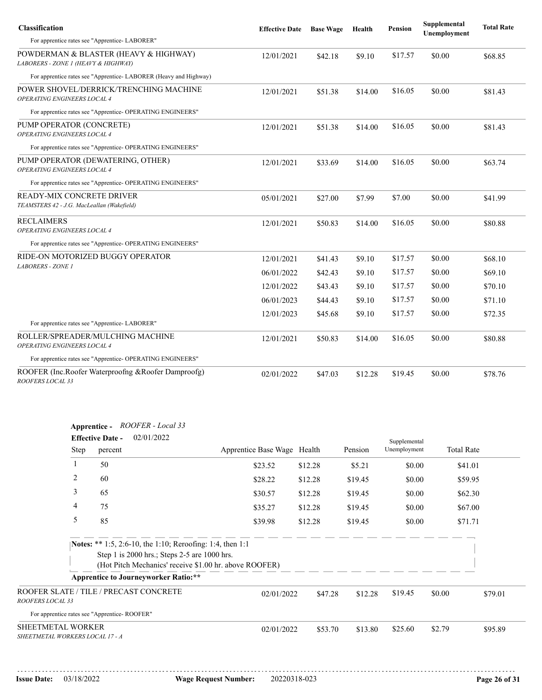| <b>Classification</b>                                                        | <b>Effective Date</b> | <b>Base Wage</b> | Health  | Pension | Supplemental<br>Unemployment | <b>Total Rate</b> |
|------------------------------------------------------------------------------|-----------------------|------------------|---------|---------|------------------------------|-------------------|
| For apprentice rates see "Apprentice-LABORER"                                |                       |                  |         |         |                              |                   |
| POWDERMAN & BLASTER (HEAVY & HIGHWAY)<br>LABORERS - ZONE 1 (HEAVY & HIGHWAY) | 12/01/2021            | \$42.18          | \$9.10  | \$17.57 | \$0.00                       | \$68.85           |
| For apprentice rates see "Apprentice-LABORER (Heavy and Highway)             |                       |                  |         |         |                              |                   |
| POWER SHOVEL/DERRICK/TRENCHING MACHINE<br>OPERATING ENGINEERS LOCAL 4        | 12/01/2021            | \$51.38          | \$14.00 | \$16.05 | \$0.00                       | \$81.43           |
| For apprentice rates see "Apprentice- OPERATING ENGINEERS"                   |                       |                  |         |         |                              |                   |
| PUMP OPERATOR (CONCRETE)<br>OPERATING ENGINEERS LOCAL 4                      | 12/01/2021            | \$51.38          | \$14.00 | \$16.05 | \$0.00                       | \$81.43           |
| For apprentice rates see "Apprentice- OPERATING ENGINEERS"                   |                       |                  |         |         |                              |                   |
| PUMP OPERATOR (DEWATERING, OTHER)<br>OPERATING ENGINEERS LOCAL 4             | 12/01/2021            | \$33.69          | \$14.00 | \$16.05 | \$0.00                       | \$63.74           |
| For apprentice rates see "Apprentice- OPERATING ENGINEERS"                   |                       |                  |         |         |                              |                   |
| READY-MIX CONCRETE DRIVER<br>TEAMSTERS 42 - J.G. MacLeallan (Wakefield)      | 05/01/2021            | \$27.00          | \$7.99  | \$7.00  | \$0.00                       | \$41.99           |
| <b>RECLAIMERS</b><br>OPERATING ENGINEERS LOCAL 4                             | 12/01/2021            | \$50.83          | \$14.00 | \$16.05 | \$0.00                       | \$80.88           |
| For apprentice rates see "Apprentice- OPERATING ENGINEERS"                   |                       |                  |         |         |                              |                   |
| RIDE-ON MOTORIZED BUGGY OPERATOR                                             | 12/01/2021            | \$41.43          | \$9.10  | \$17.57 | \$0.00                       | \$68.10           |
| <b>LABORERS - ZONE 1</b>                                                     | 06/01/2022            | \$42.43          | \$9.10  | \$17.57 | \$0.00                       | \$69.10           |
|                                                                              | 12/01/2022            | \$43.43          | \$9.10  | \$17.57 | \$0.00                       | \$70.10           |
|                                                                              | 06/01/2023            | \$44.43          | \$9.10  | \$17.57 | \$0.00                       | \$71.10           |
|                                                                              | 12/01/2023            | \$45.68          | \$9.10  | \$17.57 | \$0.00                       | \$72.35           |
| For apprentice rates see "Apprentice-LABORER"                                |                       |                  |         |         |                              |                   |
| ROLLER/SPREADER/MULCHING MACHINE<br>OPERATING ENGINEERS LOCAL 4              | 12/01/2021            | \$50.83          | \$14.00 | \$16.05 | \$0.00                       | \$80.88           |
| For apprentice rates see "Apprentice- OPERATING ENGINEERS"                   |                       |                  |         |         |                              |                   |
| ROOFER (Inc.Roofer Waterproofng & Roofer Damproofg)<br>ROOFERS LOCAL 33      | 02/01/2022            | \$47.03          | \$12.28 | \$19.45 | \$0.00                       | \$78.76           |

| Apprentice -                                           | ROOFER - Local 33 |
|--------------------------------------------------------|-------------------|
| $\mathbf{E}$ of $\mathbf{E}$ $\mathbf{E}$ $\mathbf{E}$ | 02/01/2022        |

|                                                             | 02/01/2022<br><b>Effective Date -</b>                                                                     |                                                        |         |         |              |                   |         |
|-------------------------------------------------------------|-----------------------------------------------------------------------------------------------------------|--------------------------------------------------------|---------|---------|--------------|-------------------|---------|
| Step                                                        | percent                                                                                                   | Apprentice Base Wage Health                            |         | Pension | Unemployment | <b>Total Rate</b> |         |
|                                                             | 50                                                                                                        | \$23.52                                                | \$12.28 | \$5.21  | \$0.00       | \$41.01           |         |
| 2                                                           | 60                                                                                                        | \$28.22                                                | \$12.28 | \$19.45 | \$0.00       | \$59.95           |         |
| 3                                                           | 65                                                                                                        | \$30.57                                                | \$12.28 | \$19.45 | \$0.00       | \$62.30           |         |
| 4                                                           | 75                                                                                                        | \$35.27                                                | \$12.28 | \$19.45 | \$0.00       | \$67.00           |         |
| 5                                                           | 85                                                                                                        | \$39.98                                                | \$12.28 | \$19.45 | \$0.00       | \$71.71           |         |
|                                                             | Notes: ** 1:5, 2:6-10, the 1:10; Reroofing: 1:4, then 1:1<br>Step 1 is 2000 hrs.; Steps 2-5 are 1000 hrs. | (Hot Pitch Mechanics' receive \$1.00 hr. above ROOFER) |         |         |              |                   |         |
|                                                             | <b>Apprentice to Journeyworker Ratio:**</b>                                                               |                                                        |         |         |              |                   |         |
| ROOFER SLATE / TILE / PRECAST CONCRETE<br>ROOFERS LOCAL 33  |                                                                                                           | 02/01/2022                                             | \$47.28 | \$12.28 | \$19.45      | \$0.00            | \$79.01 |
| For apprentice rates see "Apprentice-ROOFER"                |                                                                                                           |                                                        |         |         |              |                   |         |
| <b>SHEETMETAL WORKER</b><br>SHEETMETAL WORKERS LOCAL 17 - A |                                                                                                           | 02/01/2022                                             | \$53.70 | \$13.80 | \$25.60      | \$2.79            | \$95.89 |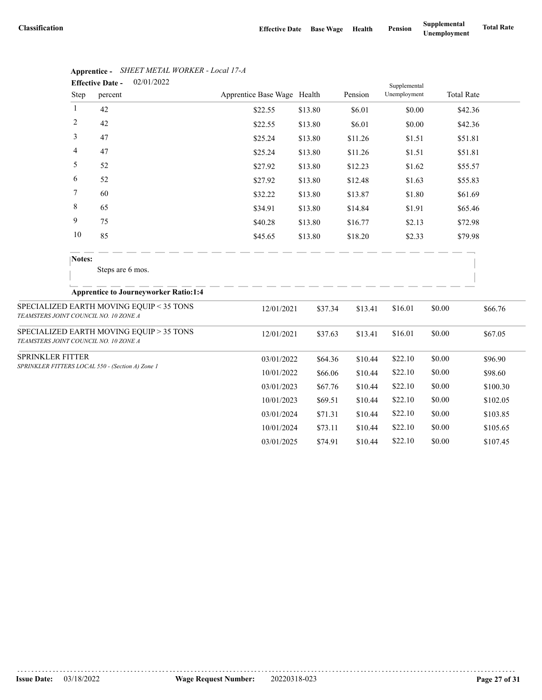|                                       |                          | 02/01/2022<br><b>Effective Date -</b>            |                             |         |         | Supplemental |                   |          |
|---------------------------------------|--------------------------|--------------------------------------------------|-----------------------------|---------|---------|--------------|-------------------|----------|
|                                       | Step                     | percent                                          | Apprentice Base Wage Health |         | Pension | Unemployment | <b>Total Rate</b> |          |
|                                       | 1                        | 42                                               | \$22.55                     | \$13.80 | \$6.01  | \$0.00       |                   | \$42.36  |
|                                       | $\overline{c}$           | 42                                               | \$22.55                     | \$13.80 | \$6.01  | \$0.00       |                   | \$42.36  |
|                                       | 3                        | 47                                               | \$25.24                     | \$13.80 | \$11.26 | \$1.51       |                   | \$51.81  |
|                                       | $\overline{\mathcal{A}}$ | 47                                               | \$25.24                     | \$13.80 | \$11.26 | \$1.51       |                   | \$51.81  |
|                                       | 5                        | 52                                               | \$27.92                     | \$13.80 | \$12.23 | \$1.62       |                   | \$55.57  |
|                                       | 6                        | 52                                               | \$27.92                     | \$13.80 | \$12.48 | \$1.63       |                   | \$55.83  |
|                                       | 7                        | 60                                               | \$32.22                     | \$13.80 | \$13.87 | \$1.80       |                   | \$61.69  |
|                                       | 8                        | 65                                               | \$34.91                     | \$13.80 | \$14.84 | \$1.91       |                   | \$65.46  |
|                                       | 9                        | 75                                               | \$40.28                     | \$13.80 | \$16.77 | \$2.13       |                   | \$72.98  |
|                                       | 10                       | 85                                               | \$45.65                     | \$13.80 | \$18.20 | \$2.33       |                   | \$79.98  |
|                                       | Notes:                   |                                                  |                             |         |         |              |                   |          |
|                                       |                          | Steps are 6 mos.                                 |                             |         |         |              |                   |          |
|                                       |                          | <b>Apprentice to Journeyworker Ratio:1:4</b>     |                             |         |         |              |                   |          |
| TEAMSTERS JOINT COUNCIL NO. 10 ZONE A |                          | SPECIALIZED EARTH MOVING EQUIP < 35 TONS         | 12/01/2021                  | \$37.34 | \$13.41 | \$16.01      | \$0.00            | \$66.76  |
| TEAMSTERS JOINT COUNCIL NO. 10 ZONE A |                          | SPECIALIZED EARTH MOVING EQUIP > 35 TONS         | 12/01/2021                  | \$37.63 | \$13.41 | \$16.01      | \$0.00            | \$67.05  |
| SPRINKLER FITTER                      |                          |                                                  | 03/01/2022                  | \$64.36 | \$10.44 | \$22.10      | \$0.00            | \$96.90  |
|                                       |                          | SPRINKLER FITTERS LOCAL 550 - (Section A) Zone 1 | 10/01/2022                  | \$66.06 | \$10.44 | \$22.10      | \$0.00            | \$98.60  |
|                                       |                          |                                                  | 03/01/2023                  | \$67.76 | \$10.44 | \$22.10      | \$0.00            | \$100.30 |
|                                       |                          |                                                  | 10/01/2023                  | \$69.51 | \$10.44 | \$22.10      | \$0.00            | \$102.05 |
|                                       |                          |                                                  | 03/01/2024                  | \$71.31 | \$10.44 | \$22.10      | \$0.00            | \$103.85 |
|                                       |                          |                                                  | 10/01/2024                  | \$73.11 | \$10.44 | \$22.10      | \$0.00            | \$105.65 |
|                                       |                          |                                                  | 03/01/2025                  | \$74.91 | \$10.44 | \$22.10      | \$0.00            | \$107.45 |

## **Apprentice -** *SHEET METAL WORKER - Local 17-A*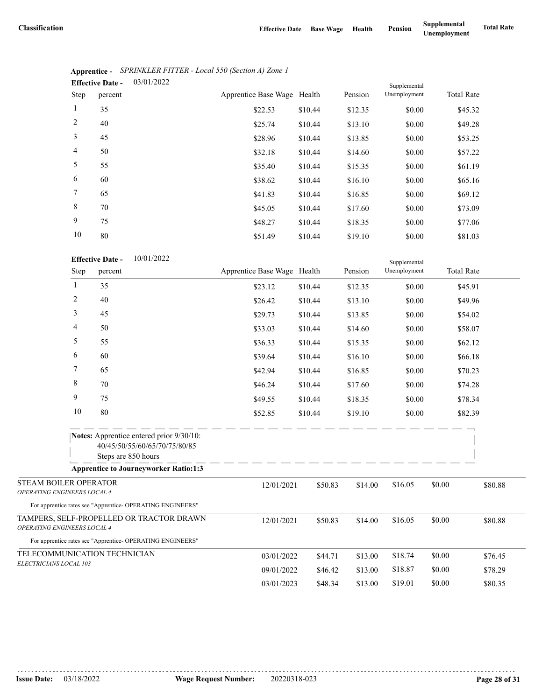|             | <b>Effective Date -</b> | 03/01/2022 |                             |         | Supplemental |              |                   |  |
|-------------|-------------------------|------------|-----------------------------|---------|--------------|--------------|-------------------|--|
| <b>Step</b> | percent                 |            | Apprentice Base Wage Health |         | Pension      | Unemployment | <b>Total Rate</b> |  |
| 1           | 35                      |            | \$22.53                     | \$10.44 | \$12.35      | \$0.00       | \$45.32           |  |
| 2           | 40                      |            | \$25.74                     | \$10.44 | \$13.10      | \$0.00       | \$49.28           |  |
| 3           | 45                      |            | \$28.96                     | \$10.44 | \$13.85      | \$0.00       | \$53.25           |  |
| 4           | 50                      |            | \$32.18                     | \$10.44 | \$14.60      | \$0.00       | \$57.22           |  |
| 5           | 55                      |            | \$35.40                     | \$10.44 | \$15.35      | \$0.00       | \$61.19           |  |
| 6           | 60                      |            | \$38.62                     | \$10.44 | \$16.10      | \$0.00       | \$65.16           |  |
| $\tau$      | 65                      |            | \$41.83                     | \$10.44 | \$16.85      | \$0.00       | \$69.12           |  |
| 8           | 70                      |            | \$45.05                     | \$10.44 | \$17.60      | \$0.00       | \$73.09           |  |
| 9           | 75                      |            | \$48.27                     | \$10.44 | \$18.35      | \$0.00       | \$77.06           |  |
| 10          | 80                      |            | \$51.49                     | \$10.44 | \$19.10      | \$0.00       | \$81.03           |  |

|                                                            | Apprentice - SPRINKLER FITTER - Local 550 (Section A) Zone 1 |
|------------------------------------------------------------|--------------------------------------------------------------|
| $\Gamma_{\rm ff}$ of $\Gamma_{\rm eff}$ $\Gamma_{\rm eff}$ | . <u>03/01/2022</u>                                          |

|                                                      | 10     | 80                                                                                               | \$51.49                     | \$10.44 | \$19.10 | \$0.00                       | \$81.03           |         |
|------------------------------------------------------|--------|--------------------------------------------------------------------------------------------------|-----------------------------|---------|---------|------------------------------|-------------------|---------|
|                                                      | Step   | 10/01/2022<br><b>Effective Date -</b><br>percent                                                 | Apprentice Base Wage Health |         | Pension | Supplemental<br>Unemployment | <b>Total Rate</b> |         |
|                                                      | 1      |                                                                                                  |                             |         |         |                              |                   |         |
|                                                      |        | 35                                                                                               | \$23.12                     | \$10.44 | \$12.35 | \$0.00                       | \$45.91           |         |
|                                                      | 2      | 40                                                                                               | \$26.42                     | \$10.44 | \$13.10 | \$0.00                       | \$49.96           |         |
|                                                      | 3      | 45                                                                                               | \$29.73                     | \$10.44 | \$13.85 | \$0.00                       | \$54.02           |         |
|                                                      | 4      | 50                                                                                               | \$33.03                     | \$10.44 | \$14.60 | \$0.00                       | \$58.07           |         |
|                                                      | 5      | 55                                                                                               | \$36.33                     | \$10.44 | \$15.35 | \$0.00                       | \$62.12           |         |
|                                                      | 6      | 60                                                                                               | \$39.64                     | \$10.44 | \$16.10 | \$0.00                       | \$66.18           |         |
|                                                      | 7      | 65                                                                                               | \$42.94                     | \$10.44 | \$16.85 | \$0.00                       | \$70.23           |         |
|                                                      | 8      | 70                                                                                               | \$46.24                     | \$10.44 | \$17.60 | \$0.00                       | \$74.28           |         |
|                                                      | 9      | 75                                                                                               | \$49.55                     | \$10.44 | \$18.35 | \$0.00                       | \$78.34           |         |
|                                                      | $10\,$ | 80                                                                                               | \$52.85                     | \$10.44 | \$19.10 | \$0.00                       | \$82.39           |         |
|                                                      |        | Notes: Apprentice entered prior 9/30/10:<br>40/45/50/55/60/65/70/75/80/85<br>Steps are 850 hours |                             |         |         |                              |                   |         |
|                                                      |        | <b>Apprentice to Journeyworker Ratio:1:3</b>                                                     |                             |         |         |                              |                   |         |
| STEAM BOILER OPERATOR<br>OPERATING ENGINEERS LOCAL 4 |        |                                                                                                  | 12/01/2021                  | \$50.83 | \$14.00 | \$16.05                      | \$0.00            | \$80.88 |
|                                                      |        | For apprentice rates see "Apprentice- OPERATING ENGINEERS"                                       |                             |         |         |                              |                   |         |
| OPERATING ENGINEERS LOCAL 4                          |        | TAMPERS, SELF-PROPELLED OR TRACTOR DRAWN                                                         | 12/01/2021                  | \$50.83 | \$14.00 | \$16.05                      | \$0.00            | \$80.88 |
|                                                      |        | For apprentice rates see "Apprentice- OPERATING ENGINEERS"                                       |                             |         |         |                              |                   |         |
|                                                      |        | TELECOMMUNICATION TECHNICIAN                                                                     | 03/01/2022                  | \$44.71 | \$13.00 | \$18.74                      | \$0.00            | \$76.45 |
| ELECTRICIANS LOCAL 103                               |        |                                                                                                  | 09/01/2022                  | \$46.42 | \$13.00 | \$18.87                      | \$0.00            | \$78.29 |
|                                                      |        |                                                                                                  | 03/01/2023                  | \$48.34 | \$13.00 | \$19.01                      | \$0.00            | \$80.35 |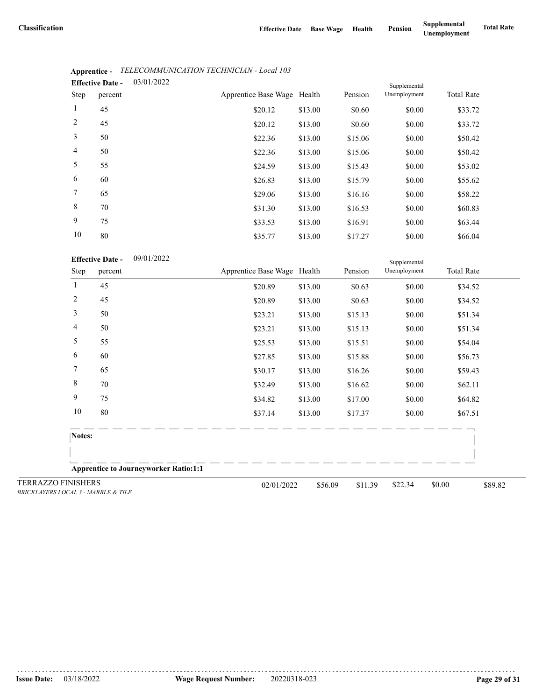|      | <b>Effective Date -</b> | 03/01/2022 |                             |         | Supplemental |              |                   |  |
|------|-------------------------|------------|-----------------------------|---------|--------------|--------------|-------------------|--|
| Step | percent                 |            | Apprentice Base Wage Health |         | Pension      | Unemployment | <b>Total Rate</b> |  |
| 1    | 45                      |            | \$20.12                     | \$13.00 | \$0.60       | \$0.00       | \$33.72           |  |
| 2    | 45                      |            | \$20.12                     | \$13.00 | \$0.60       | \$0.00       | \$33.72           |  |
| 3    | 50                      |            | \$22.36                     | \$13.00 | \$15.06      | \$0.00       | \$50.42           |  |
| 4    | 50                      |            | \$22.36                     | \$13.00 | \$15.06      | \$0.00       | \$50.42           |  |
| 5    | 55                      |            | \$24.59                     | \$13.00 | \$15.43      | \$0.00       | \$53.02           |  |
| 6    | 60                      |            | \$26.83                     | \$13.00 | \$15.79      | \$0.00       | \$55.62           |  |
| 7    | 65                      |            | \$29.06                     | \$13.00 | \$16.16      | \$0.00       | \$58.22           |  |
| 8    | 70                      |            | \$31.30                     | \$13.00 | \$16.53      | \$0.00       | \$60.83           |  |
| 9    | 75                      |            | \$33.53                     | \$13.00 | \$16.91      | \$0.00       | \$63.44           |  |
| 10   | 80                      |            | \$3577                      | \$13,00 | \$17.27      | \$0.00       | \$66.04           |  |

## **Apprentice -** *TELECOMMUNICATION TECHNICIAN - Local 103*

| 80                           |                                                                  | \$35.77                                      | \$13.00 | \$17.27                                              | \$0.00                       | \$66.04           |         |
|------------------------------|------------------------------------------------------------------|----------------------------------------------|---------|------------------------------------------------------|------------------------------|-------------------|---------|
|                              | 09/01/2022                                                       |                                              |         |                                                      | Supplemental<br>Unemployment | <b>Total Rate</b> |         |
| 45                           |                                                                  |                                              |         |                                                      |                              |                   |         |
| 45                           |                                                                  | \$20.89                                      | \$13.00 | \$0.63                                               | \$0.00                       | \$34.52           |         |
| 50                           |                                                                  | \$23.21                                      | \$13.00 | \$15.13                                              | \$0.00                       | \$51.34           |         |
| 50                           |                                                                  | \$23.21                                      | \$13.00 | \$15.13                                              | \$0.00                       | \$51.34           |         |
| 55                           |                                                                  | \$25.53                                      | \$13.00 | \$15.51                                              | \$0.00                       | \$54.04           |         |
| 60                           |                                                                  | \$27.85                                      | \$13.00 | \$15.88                                              | \$0.00                       | \$56.73           |         |
| 65                           |                                                                  | \$30.17                                      | \$13.00 | \$16.26                                              | \$0.00                       | \$59.43           |         |
| 70                           |                                                                  | \$32.49                                      | \$13.00 | \$16.62                                              | \$0.00                       | \$62.11           |         |
| 75                           |                                                                  | \$34.82                                      | \$13.00 | \$17.00                                              | \$0.00                       | \$64.82           |         |
| 80                           |                                                                  | \$37.14                                      | \$13.00 | \$17.37                                              | \$0.00                       | \$67.51           |         |
|                              |                                                                  |                                              |         |                                                      |                              |                   |         |
|                              |                                                                  |                                              |         |                                                      |                              |                   |         |
|                              |                                                                  |                                              |         |                                                      |                              |                   |         |
| $0.011.1$ $111001F$ $0.701F$ |                                                                  |                                              |         | \$11.39                                              | \$22.34                      | \$0.00            | \$89.82 |
|                              | <b>Effective Date -</b><br>percent<br>Notes:<br><b>FINISHERS</b> | <b>Apprentice to Journeyworker Ratio:1:1</b> | \$20.89 | Apprentice Base Wage Health<br>\$13.00<br>02/01/2022 | Pension<br>\$0.63<br>\$56.09 | \$0.00            | \$34.52 |

TERRAZZO *BRICKLAYERS LOCAL 3 - MARBLE & TILE*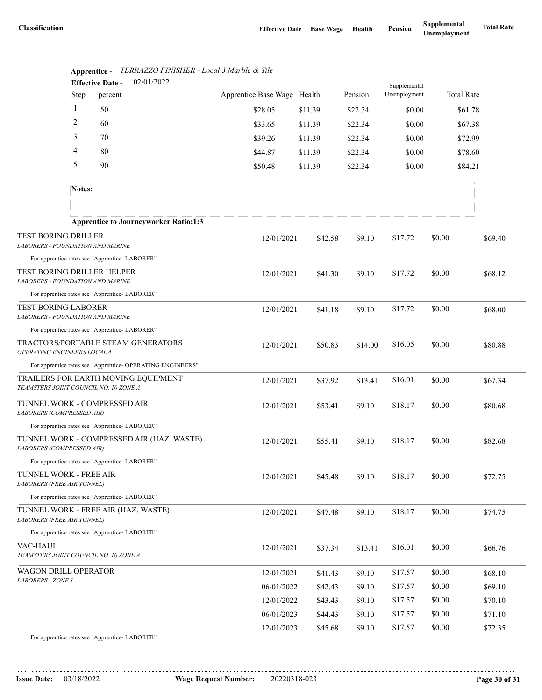|                                                                       | <b>Effective Date -</b> | 02/01/2022                                                 |                             |         |         |              |        |                   |  |
|-----------------------------------------------------------------------|-------------------------|------------------------------------------------------------|-----------------------------|---------|---------|--------------|--------|-------------------|--|
|                                                                       | Step                    | percent                                                    | Apprentice Base Wage Health |         | Pension | Unemployment |        | <b>Total Rate</b> |  |
|                                                                       | -1                      | 50                                                         | \$28.05                     | \$11.39 | \$22.34 | \$0.00       |        | \$61.78           |  |
|                                                                       | 2                       | 60                                                         | \$33.65                     | \$11.39 | \$22.34 | \$0.00       |        | \$67.38           |  |
|                                                                       | 3                       | 70                                                         | \$39.26                     | \$11.39 | \$22.34 | \$0.00       |        | \$72.99           |  |
|                                                                       | 4                       | 80                                                         | \$44.87                     | \$11.39 | \$22.34 | \$0.00       |        | \$78.60           |  |
|                                                                       | 5                       | 90                                                         | \$50.48                     | \$11.39 | \$22.34 | \$0.00       |        | \$84.21           |  |
|                                                                       | Notes:                  |                                                            |                             |         |         |              |        |                   |  |
|                                                                       |                         |                                                            |                             |         |         |              |        |                   |  |
|                                                                       |                         | <b>Apprentice to Journeyworker Ratio:1:3</b>               |                             |         |         |              |        |                   |  |
| <b>TEST BORING DRILLER</b><br>LABORERS - FOUNDATION AND MARINE        |                         |                                                            | 12/01/2021                  | \$42.58 | \$9.10  | \$17.72      | \$0.00 | \$69.40           |  |
|                                                                       |                         | For apprentice rates see "Apprentice- LABORER"             |                             |         |         |              |        |                   |  |
| TEST BORING DRILLER HELPER<br><b>LABORERS - FOUNDATION AND MARINE</b> |                         |                                                            | 12/01/2021                  | \$41.30 | \$9.10  | \$17.72      | \$0.00 | \$68.12           |  |
|                                                                       |                         | For apprentice rates see "Apprentice-LABORER"              |                             |         |         |              |        |                   |  |
| <b>TEST BORING LABORER</b><br><b>LABORERS - FOUNDATION AND MARINE</b> |                         |                                                            | 12/01/2021                  | \$41.18 | \$9.10  | \$17.72      | \$0.00 | \$68.00           |  |
|                                                                       |                         | For apprentice rates see "Apprentice-LABORER"              |                             |         |         |              |        |                   |  |
| OPERATING ENGINEERS LOCAL 4                                           |                         | TRACTORS/PORTABLE STEAM GENERATORS                         | 12/01/2021                  | \$50.83 | \$14.00 | \$16.05      | \$0.00 | \$80.88           |  |
|                                                                       |                         | For apprentice rates see "Apprentice- OPERATING ENGINEERS" |                             |         |         |              |        |                   |  |
| TEAMSTERS JOINT COUNCIL NO. 10 ZONE A                                 |                         | TRAILERS FOR EARTH MOVING EQUIPMENT                        | 12/01/2021                  | \$37.92 | \$13.41 | \$16.01      | \$0.00 | \$67.34           |  |
| TUNNEL WORK - COMPRESSED AIR<br>LABORERS (COMPRESSED AIR)             |                         |                                                            | 12/01/2021                  | \$53.41 | \$9.10  | \$18.17      | \$0.00 | \$80.68           |  |
|                                                                       |                         | For apprentice rates see "Apprentice-LABORER"              |                             |         |         |              |        |                   |  |
| LABORERS (COMPRESSED AIR)                                             |                         | TUNNEL WORK - COMPRESSED AIR (HAZ. WASTE)                  | 12/01/2021                  | \$55.41 | \$9.10  | \$18.17      | \$0.00 | \$82.68           |  |
|                                                                       |                         | For apprentice rates see "Apprentice-LABORER"              |                             |         |         |              |        |                   |  |
| TUNNEL WORK - FREE AIR<br><b>LABORERS (FREE AIR TUNNEL)</b>           |                         |                                                            | 12/01/2021                  | \$45.48 | \$9.10  | \$18.17      | \$0.00 | \$72.75           |  |
|                                                                       |                         | For apprentice rates see "Apprentice-LABORER"              |                             |         |         |              |        |                   |  |
| LABORERS (FREE AIR TUNNEL)                                            |                         | TUNNEL WORK - FREE AIR (HAZ. WASTE)                        | 12/01/2021                  | \$47.48 | \$9.10  | \$18.17      | \$0.00 | \$74.75           |  |
|                                                                       |                         | For apprentice rates see "Apprentice-LABORER"              |                             |         |         |              |        |                   |  |
| VAC-HAUL<br>TEAMSTERS JOINT COUNCIL NO. 10 ZONE A                     |                         |                                                            | 12/01/2021                  | \$37.34 | \$13.41 | \$16.01      | \$0.00 | \$66.76           |  |
| WAGON DRILL OPERATOR                                                  |                         |                                                            | 12/01/2021                  | \$41.43 | \$9.10  | \$17.57      | \$0.00 | \$68.10           |  |
| LABORERS - ZONE 1                                                     |                         |                                                            | 06/01/2022                  | \$42.43 | \$9.10  | \$17.57      | \$0.00 | \$69.10           |  |
|                                                                       |                         |                                                            | 12/01/2022                  | \$43.43 | \$9.10  | \$17.57      | \$0.00 | \$70.10           |  |
|                                                                       |                         |                                                            | 06/01/2023                  | \$44.43 | \$9.10  | \$17.57      | \$0.00 | \$71.10           |  |
|                                                                       |                         |                                                            | 12/01/2023                  | \$45.68 | \$9.10  | \$17.57      | \$0.00 | \$72.35           |  |
|                                                                       |                         | For apprentice rates see "Apprentice-LABORER"              |                             |         |         |              |        |                   |  |

|                              |  | Apprentice - TERRAZZO FINISHER - Local 3 Marble & Tile |  |
|------------------------------|--|--------------------------------------------------------|--|
| $\mathbf{r}$ as $\mathbf{r}$ |  | 0.212222                                               |  |